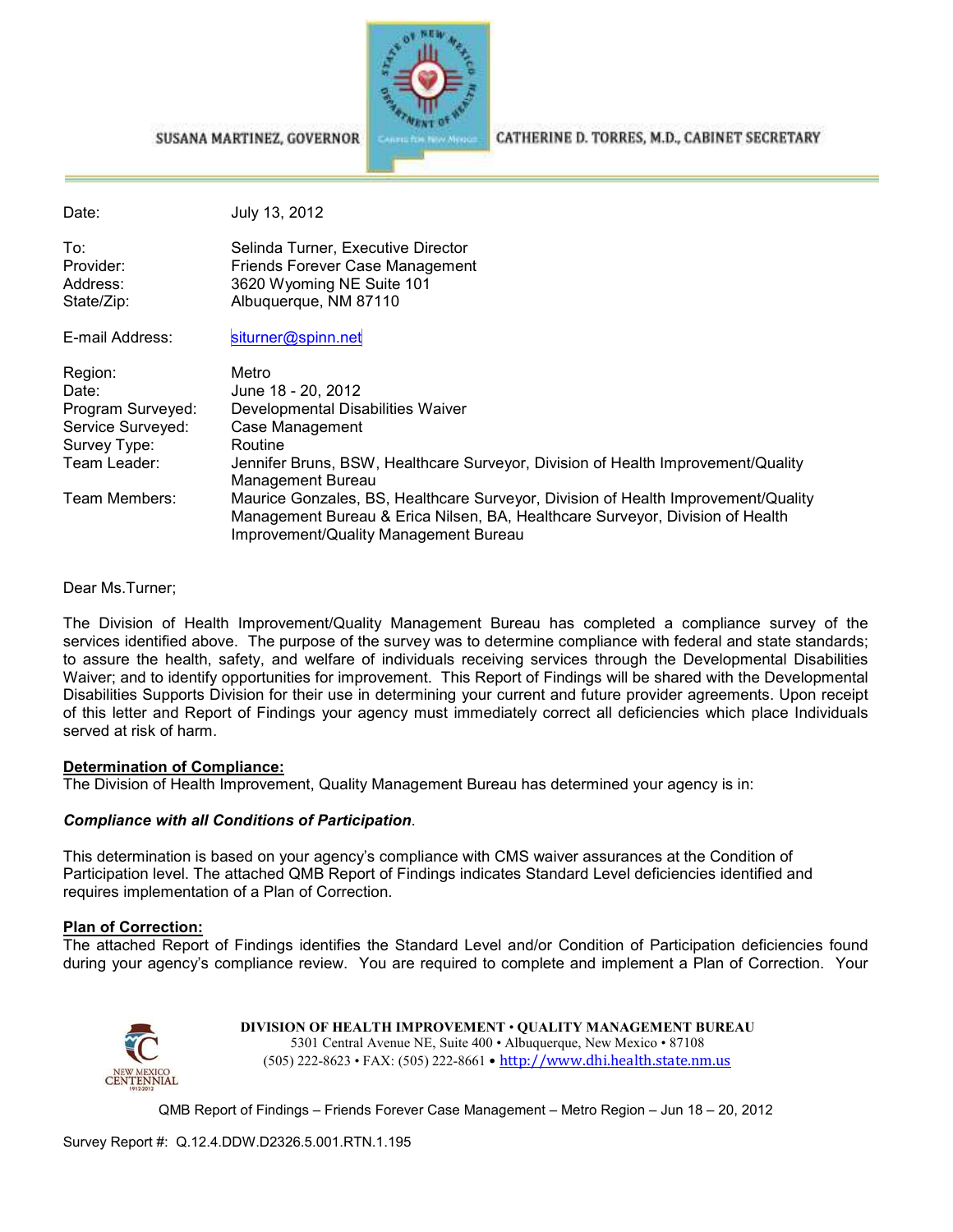

SUSANA MARTINEZ, GOVERNOR

CATHERINE D. TORRES, M.D., CABINET SECRETARY

| Date:                                      | July 13, 2012                                                                                                                                                                                               |
|--------------------------------------------|-------------------------------------------------------------------------------------------------------------------------------------------------------------------------------------------------------------|
| To:<br>Provider:<br>Address:<br>State/Zip: | Selinda Turner, Executive Director<br>Friends Forever Case Management<br>3620 Wyoming NE Suite 101<br>Albuquerque, NM 87110                                                                                 |
| E-mail Address:                            | siturner@spinn.net                                                                                                                                                                                          |
| Region:                                    | Metro                                                                                                                                                                                                       |
| Date:                                      | June 18 - 20, 2012                                                                                                                                                                                          |
| Program Surveyed:                          | Developmental Disabilities Waiver                                                                                                                                                                           |
| Service Surveyed:                          | Case Management                                                                                                                                                                                             |
| Survey Type:                               | Routine                                                                                                                                                                                                     |
| Team Leader:                               | Jennifer Bruns, BSW, Healthcare Surveyor, Division of Health Improvement/Quality<br>Management Bureau                                                                                                       |
| Team Members:                              | Maurice Gonzales, BS, Healthcare Surveyor, Division of Health Improvement/Quality<br>Management Bureau & Erica Nilsen, BA, Healthcare Surveyor, Division of Health<br>Improvement/Quality Management Bureau |

Dear Ms.Turner;

The Division of Health Improvement/Quality Management Bureau has completed a compliance survey of the services identified above. The purpose of the survey was to determine compliance with federal and state standards; to assure the health, safety, and welfare of individuals receiving services through the Developmental Disabilities Waiver; and to identify opportunities for improvement. This Report of Findings will be shared with the Developmental Disabilities Supports Division for their use in determining your current and future provider agreements. Upon receipt of this letter and Report of Findings your agency must immediately correct all deficiencies which place Individuals served at risk of harm.

#### **Determination of Compliance:**

The Division of Health Improvement, Quality Management Bureau has determined your agency is in:

#### *Compliance with all Conditions of Participation*.

This determination is based on your agency's compliance with CMS waiver assurances at the Condition of Participation level. The attached QMB Report of Findings indicates Standard Level deficiencies identified and requires implementation of a Plan of Correction.

#### **Plan of Correction:**

The attached Report of Findings identifies the Standard Level and/or Condition of Participation deficiencies found during your agency's compliance review. You are required to complete and implement a Plan of Correction. Your



**DIVISION OF HEALTH IMPROVEMENT** • **QUALITY MANAGEMENT BUREAU** 5301 Central Avenue NE, Suite 400 • Albuquerque, New Mexico • 87108 (505) 222-8623 • FAX: (505) 222-8661 • http://www.dhi.health.state.nm.us

QMB Report of Findings – Friends Forever Case Management – Metro Region – Jun 18 – 20, 2012

Survey Report #: Q.12.4.DDW.D2326.5.001.RTN.1.195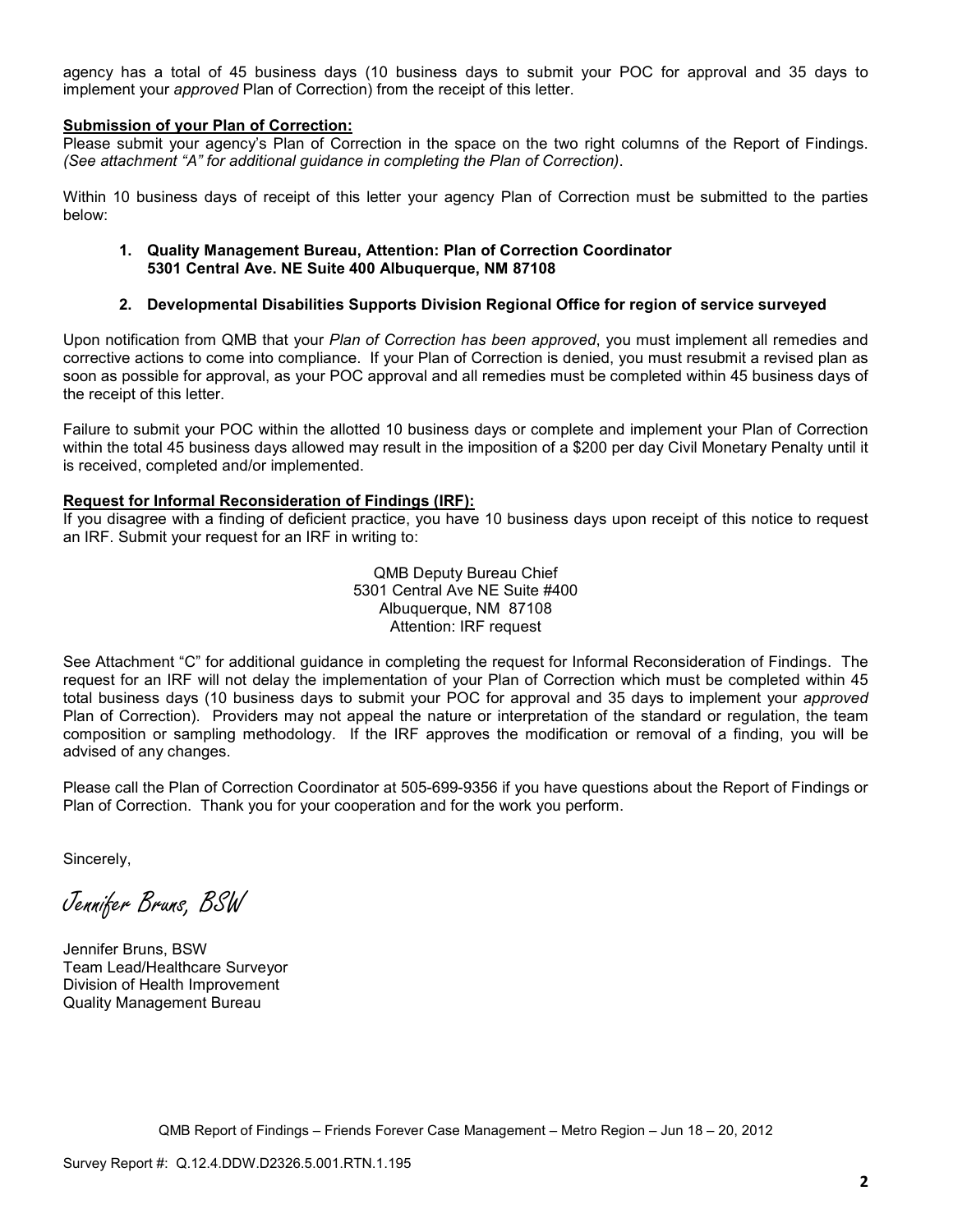agency has a total of 45 business days (10 business days to submit your POC for approval and 35 days to implement your *approved* Plan of Correction) from the receipt of this letter.

#### **Submission of your Plan of Correction:**

Please submit your agency's Plan of Correction in the space on the two right columns of the Report of Findings. *(See attachment "A" for additional guidance in completing the Plan of Correction)*.

Within 10 business days of receipt of this letter your agency Plan of Correction must be submitted to the parties below:

#### **1. Quality Management Bureau, Attention: Plan of Correction Coordinator 5301 Central Ave. NE Suite 400 Albuquerque, NM 87108**

#### **2. Developmental Disabilities Supports Division Regional Office for region of service surveyed**

Upon notification from QMB that your *Plan of Correction has been approved*, you must implement all remedies and corrective actions to come into compliance. If your Plan of Correction is denied, you must resubmit a revised plan as soon as possible for approval, as your POC approval and all remedies must be completed within 45 business days of the receipt of this letter.

Failure to submit your POC within the allotted 10 business days or complete and implement your Plan of Correction within the total 45 business days allowed may result in the imposition of a \$200 per day Civil Monetary Penalty until it is received, completed and/or implemented.

#### **Request for Informal Reconsideration of Findings (IRF):**

If you disagree with a finding of deficient practice, you have 10 business days upon receipt of this notice to request an IRF. Submit your request for an IRF in writing to:

> QMB Deputy Bureau Chief 5301 Central Ave NE Suite #400 Albuquerque, NM 87108 Attention: IRF request

See Attachment "C" for additional guidance in completing the request for Informal Reconsideration of Findings. The request for an IRF will not delay the implementation of your Plan of Correction which must be completed within 45 total business days (10 business days to submit your POC for approval and 35 days to implement your *approved* Plan of Correction). Providers may not appeal the nature or interpretation of the standard or regulation, the team composition or sampling methodology. If the IRF approves the modification or removal of a finding, you will be advised of any changes.

Please call the Plan of Correction Coordinator at 505-699-9356 if you have questions about the Report of Findings or Plan of Correction. Thank you for your cooperation and for the work you perform.

Sincerely,

Jennifer Bruns, BSW

Jennifer Bruns, BSW Team Lead/Healthcare Surveyor Division of Health Improvement Quality Management Bureau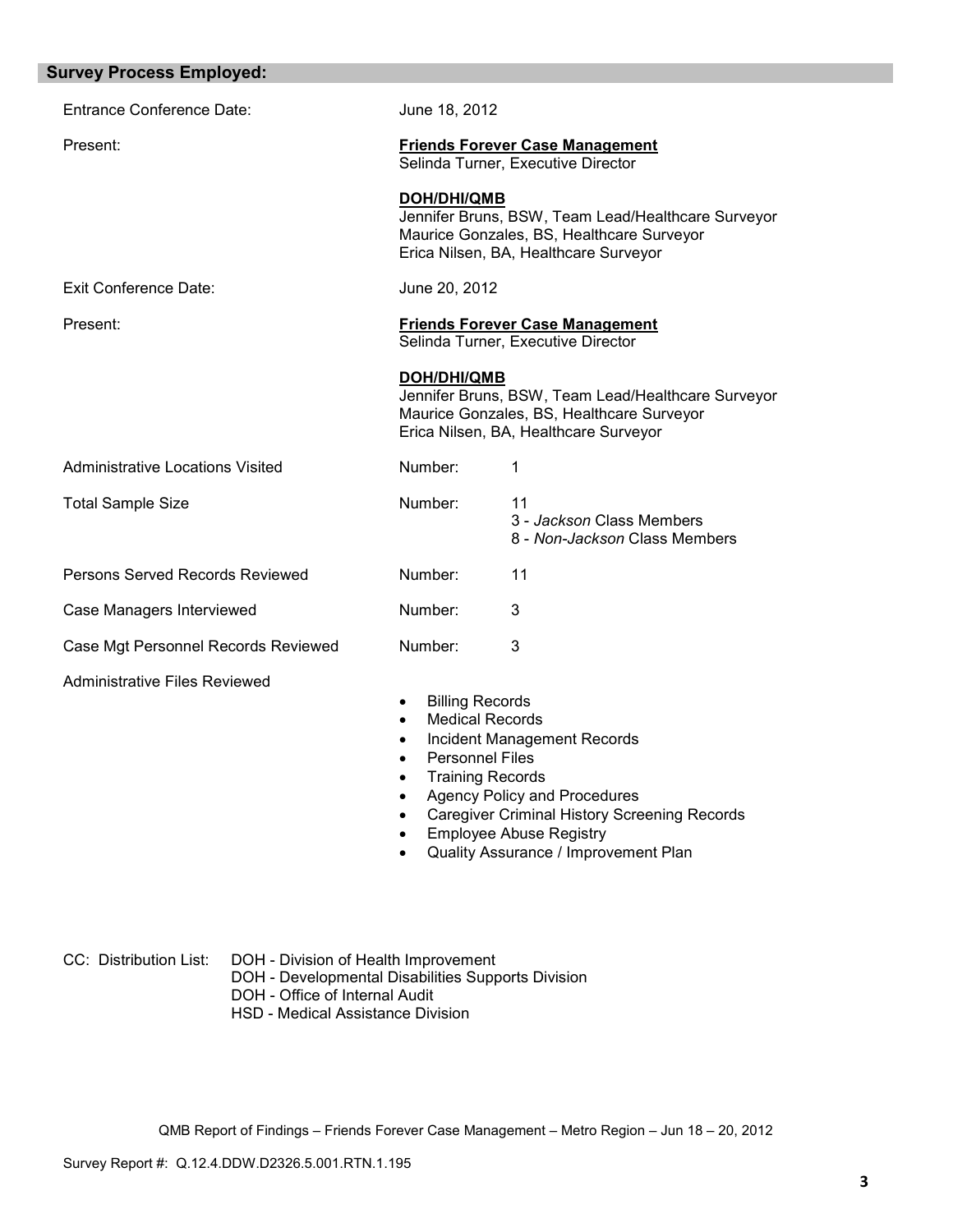| <b>Survey Process Employed:</b>         |                                                                                                                         |                                                                                                                                                                                                            |
|-----------------------------------------|-------------------------------------------------------------------------------------------------------------------------|------------------------------------------------------------------------------------------------------------------------------------------------------------------------------------------------------------|
| <b>Entrance Conference Date:</b>        | June 18, 2012                                                                                                           |                                                                                                                                                                                                            |
| Present:                                |                                                                                                                         | <b>Friends Forever Case Management</b><br>Selinda Turner, Executive Director                                                                                                                               |
|                                         | <b>DOH/DHI/QMB</b>                                                                                                      | Jennifer Bruns, BSW, Team Lead/Healthcare Surveyor<br>Maurice Gonzales, BS, Healthcare Surveyor<br>Erica Nilsen, BA, Healthcare Surveyor                                                                   |
| <b>Exit Conference Date:</b>            | June 20, 2012                                                                                                           |                                                                                                                                                                                                            |
| Present:                                |                                                                                                                         | <b>Friends Forever Case Management</b><br>Selinda Turner, Executive Director                                                                                                                               |
|                                         | DOH/DHI/QMB                                                                                                             | Jennifer Bruns, BSW, Team Lead/Healthcare Surveyor<br>Maurice Gonzales, BS, Healthcare Surveyor<br>Erica Nilsen, BA, Healthcare Surveyor                                                                   |
| <b>Administrative Locations Visited</b> | Number:                                                                                                                 | 1                                                                                                                                                                                                          |
| <b>Total Sample Size</b>                | Number:                                                                                                                 | 11<br>3 - Jackson Class Members<br>8 - Non-Jackson Class Members                                                                                                                                           |
| Persons Served Records Reviewed         | Number:                                                                                                                 | 11                                                                                                                                                                                                         |
| Case Managers Interviewed               | Number:                                                                                                                 | 3                                                                                                                                                                                                          |
| Case Mgt Personnel Records Reviewed     | Number:                                                                                                                 | 3                                                                                                                                                                                                          |
| <b>Administrative Files Reviewed</b>    | <b>Billing Records</b><br>٠<br><b>Medical Records</b><br>$\bullet$<br><b>Personnel Files</b><br><b>Training Records</b> | <b>Incident Management Records</b><br><b>Agency Policy and Procedures</b><br><b>Caregiver Criminal History Screening Records</b><br><b>Employee Abuse Registry</b><br>Quality Assurance / Improvement Plan |
|                                         |                                                                                                                         |                                                                                                                                                                                                            |

| CC: Distribution List: |  | DOH - Division of Health Improvement |                               |
|------------------------|--|--------------------------------------|-------------------------------|
|                        |  |                                      | <b>POUR LEURISTIC COMPANY</b> |

- DOH Developmental Disabilities Supports Division
- DOH Office of Internal Audit
	- HSD Medical Assistance Division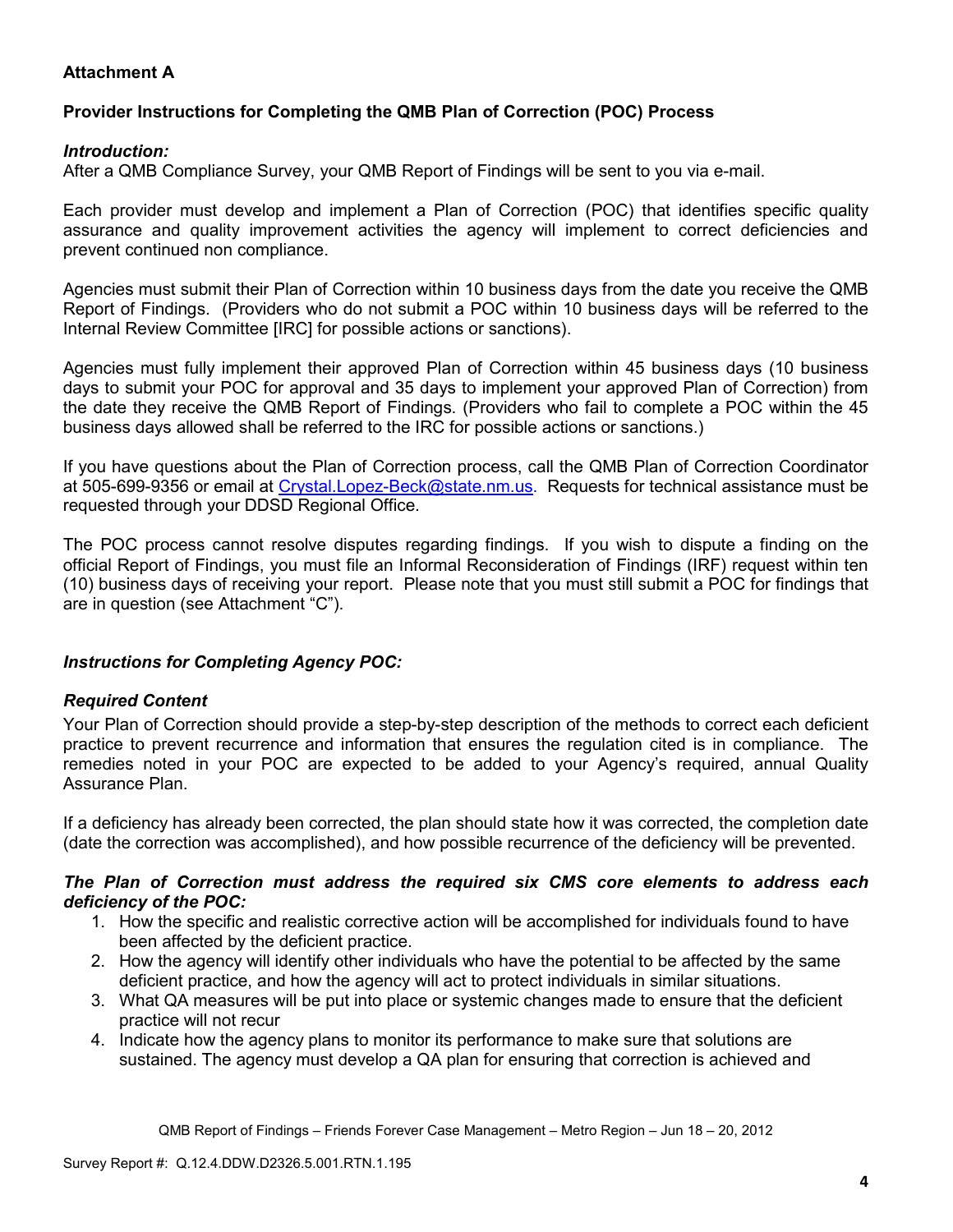## **Attachment A**

## **Provider Instructions for Completing the QMB Plan of Correction (POC) Process**

### *Introduction:*

After a QMB Compliance Survey, your QMB Report of Findings will be sent to you via e-mail.

Each provider must develop and implement a Plan of Correction (POC) that identifies specific quality assurance and quality improvement activities the agency will implement to correct deficiencies and prevent continued non compliance.

Agencies must submit their Plan of Correction within 10 business days from the date you receive the QMB Report of Findings. (Providers who do not submit a POC within 10 business days will be referred to the Internal Review Committee [IRC] for possible actions or sanctions).

Agencies must fully implement their approved Plan of Correction within 45 business days (10 business days to submit your POC for approval and 35 days to implement your approved Plan of Correction) from the date they receive the QMB Report of Findings. (Providers who fail to complete a POC within the 45 business days allowed shall be referred to the IRC for possible actions or sanctions.)

If you have questions about the Plan of Correction process, call the QMB Plan of Correction Coordinator at 505-699-9356 or email at Crystal.Lopez-Beck@state.nm.us. Requests for technical assistance must be requested through your DDSD Regional Office.

The POC process cannot resolve disputes regarding findings. If you wish to dispute a finding on the official Report of Findings, you must file an Informal Reconsideration of Findings (IRF) request within ten (10) business days of receiving your report. Please note that you must still submit a POC for findings that are in question (see Attachment "C").

## *Instructions for Completing Agency POC:*

## *Required Content*

Your Plan of Correction should provide a step-by-step description of the methods to correct each deficient practice to prevent recurrence and information that ensures the regulation cited is in compliance. The remedies noted in your POC are expected to be added to your Agency's required, annual Quality Assurance Plan.

If a deficiency has already been corrected, the plan should state how it was corrected, the completion date (date the correction was accomplished), and how possible recurrence of the deficiency will be prevented.

#### *The Plan of Correction must address the required six CMS core elements to address each deficiency of the POC:*

- 1. How the specific and realistic corrective action will be accomplished for individuals found to have been affected by the deficient practice.
- 2. How the agency will identify other individuals who have the potential to be affected by the same deficient practice, and how the agency will act to protect individuals in similar situations.
- 3. What QA measures will be put into place or systemic changes made to ensure that the deficient practice will not recur
- 4. Indicate how the agency plans to monitor its performance to make sure that solutions are sustained. The agency must develop a QA plan for ensuring that correction is achieved and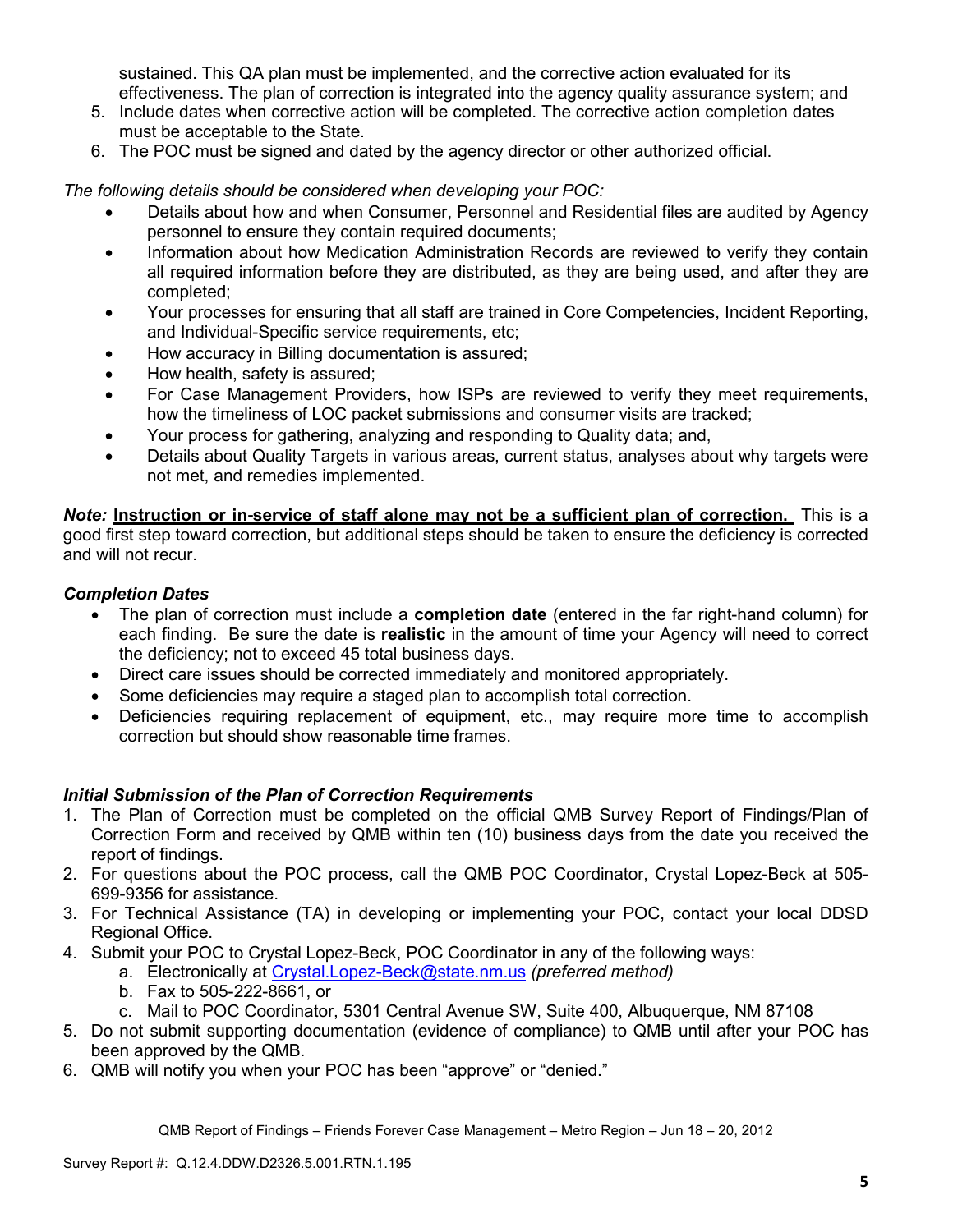sustained. This QA plan must be implemented, and the corrective action evaluated for its effectiveness. The plan of correction is integrated into the agency quality assurance system; and

- 5. Include dates when corrective action will be completed. The corrective action completion dates must be acceptable to the State.
- 6. The POC must be signed and dated by the agency director or other authorized official.

*The following details should be considered when developing your POC:* 

- Details about how and when Consumer, Personnel and Residential files are audited by Agency personnel to ensure they contain required documents;
- Information about how Medication Administration Records are reviewed to verify they contain all required information before they are distributed, as they are being used, and after they are completed;
- Your processes for ensuring that all staff are trained in Core Competencies, Incident Reporting, and Individual-Specific service requirements, etc;
- How accuracy in Billing documentation is assured;
- How health, safety is assured;
- For Case Management Providers, how ISPs are reviewed to verify they meet requirements, how the timeliness of LOC packet submissions and consumer visits are tracked;
- Your process for gathering, analyzing and responding to Quality data; and,
- Details about Quality Targets in various areas, current status, analyses about why targets were not met, and remedies implemented.

*Note:* **Instruction or in-service of staff alone may not be a sufficient plan of correction.** This is a good first step toward correction, but additional steps should be taken to ensure the deficiency is corrected and will not recur.

## *Completion Dates*

- The plan of correction must include a **completion date** (entered in the far right-hand column) for each finding. Be sure the date is **realistic** in the amount of time your Agency will need to correct the deficiency; not to exceed 45 total business days.
- Direct care issues should be corrected immediately and monitored appropriately.
- Some deficiencies may require a staged plan to accomplish total correction.
- Deficiencies requiring replacement of equipment, etc., may require more time to accomplish correction but should show reasonable time frames.

## *Initial Submission of the Plan of Correction Requirements*

- 1. The Plan of Correction must be completed on the official QMB Survey Report of Findings/Plan of Correction Form and received by QMB within ten (10) business days from the date you received the report of findings.
- 2. For questions about the POC process, call the QMB POC Coordinator, Crystal Lopez-Beck at 505- 699-9356 for assistance.
- 3. For Technical Assistance (TA) in developing or implementing your POC, contact your local DDSD Regional Office.
- 4. Submit your POC to Crystal Lopez-Beck, POC Coordinator in any of the following ways:
	- a. Electronically at Crystal.Lopez-Beck@state.nm.us *(preferred method)*
	- b. Fax to 505-222-8661, or
	- c. Mail to POC Coordinator, 5301 Central Avenue SW, Suite 400, Albuquerque, NM 87108
- 5. Do not submit supporting documentation (evidence of compliance) to QMB until after your POC has been approved by the QMB.
- 6. QMB will notify you when your POC has been "approve" or "denied."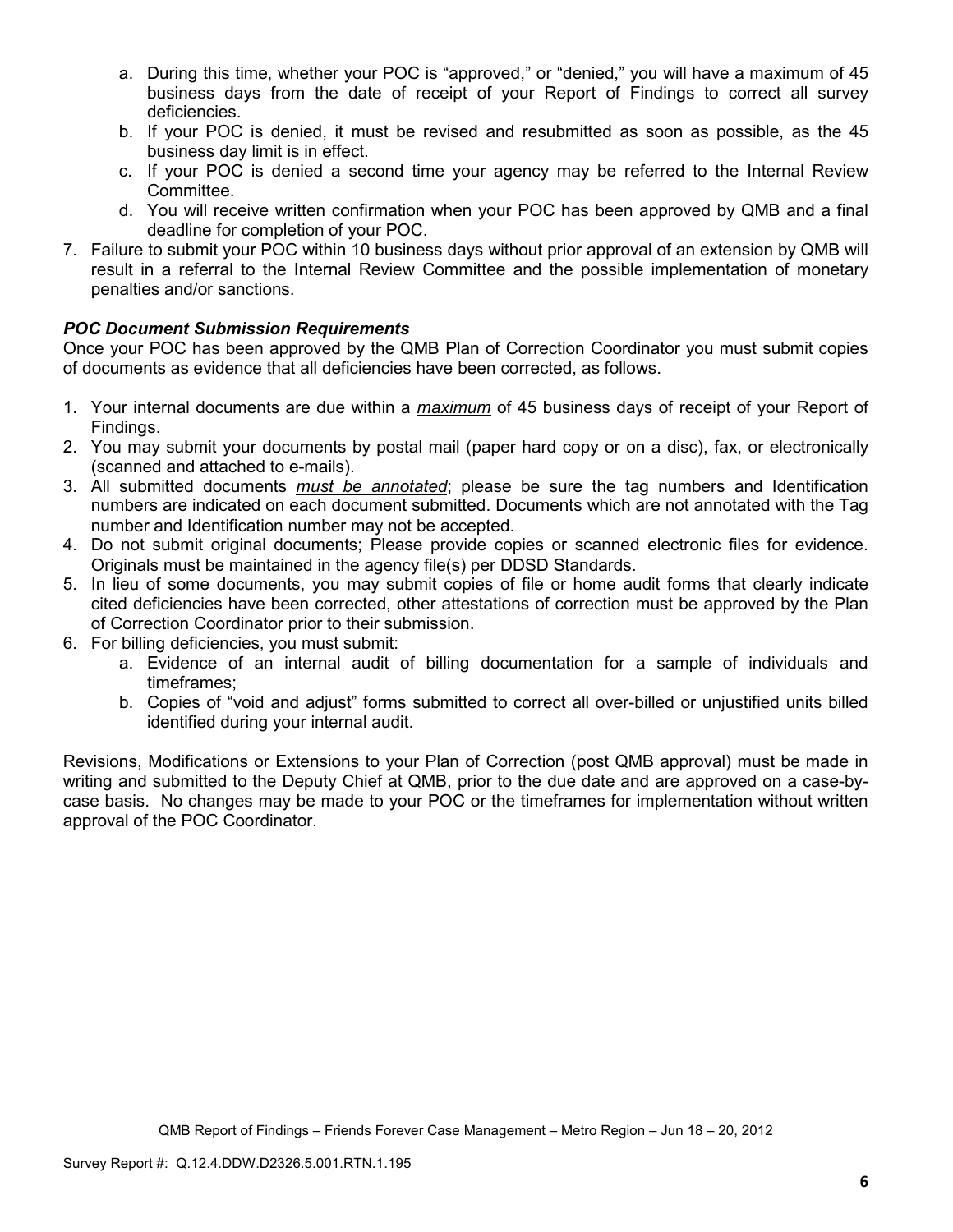- a. During this time, whether your POC is "approved," or "denied," you will have a maximum of 45 business days from the date of receipt of your Report of Findings to correct all survey deficiencies.
- b. If your POC is denied, it must be revised and resubmitted as soon as possible, as the 45 business day limit is in effect.
- c. If your POC is denied a second time your agency may be referred to the Internal Review Committee.
- d. You will receive written confirmation when your POC has been approved by QMB and a final deadline for completion of your POC.
- 7. Failure to submit your POC within 10 business days without prior approval of an extension by QMB will result in a referral to the Internal Review Committee and the possible implementation of monetary penalties and/or sanctions.

## *POC Document Submission Requirements*

Once your POC has been approved by the QMB Plan of Correction Coordinator you must submit copies of documents as evidence that all deficiencies have been corrected, as follows.

- 1. Your internal documents are due within a *maximum* of 45 business days of receipt of your Report of Findings.
- 2. You may submit your documents by postal mail (paper hard copy or on a disc), fax, or electronically (scanned and attached to e-mails).
- 3. All submitted documents *must be annotated*; please be sure the tag numbers and Identification numbers are indicated on each document submitted. Documents which are not annotated with the Tag number and Identification number may not be accepted.
- 4. Do not submit original documents; Please provide copies or scanned electronic files for evidence. Originals must be maintained in the agency file(s) per DDSD Standards.
- 5. In lieu of some documents, you may submit copies of file or home audit forms that clearly indicate cited deficiencies have been corrected, other attestations of correction must be approved by the Plan of Correction Coordinator prior to their submission.
- 6. For billing deficiencies, you must submit:
	- a. Evidence of an internal audit of billing documentation for a sample of individuals and timeframes;
	- b. Copies of "void and adjust" forms submitted to correct all over-billed or unjustified units billed identified during your internal audit.

Revisions, Modifications or Extensions to your Plan of Correction (post QMB approval) must be made in writing and submitted to the Deputy Chief at QMB, prior to the due date and are approved on a case-bycase basis. No changes may be made to your POC or the timeframes for implementation without written approval of the POC Coordinator.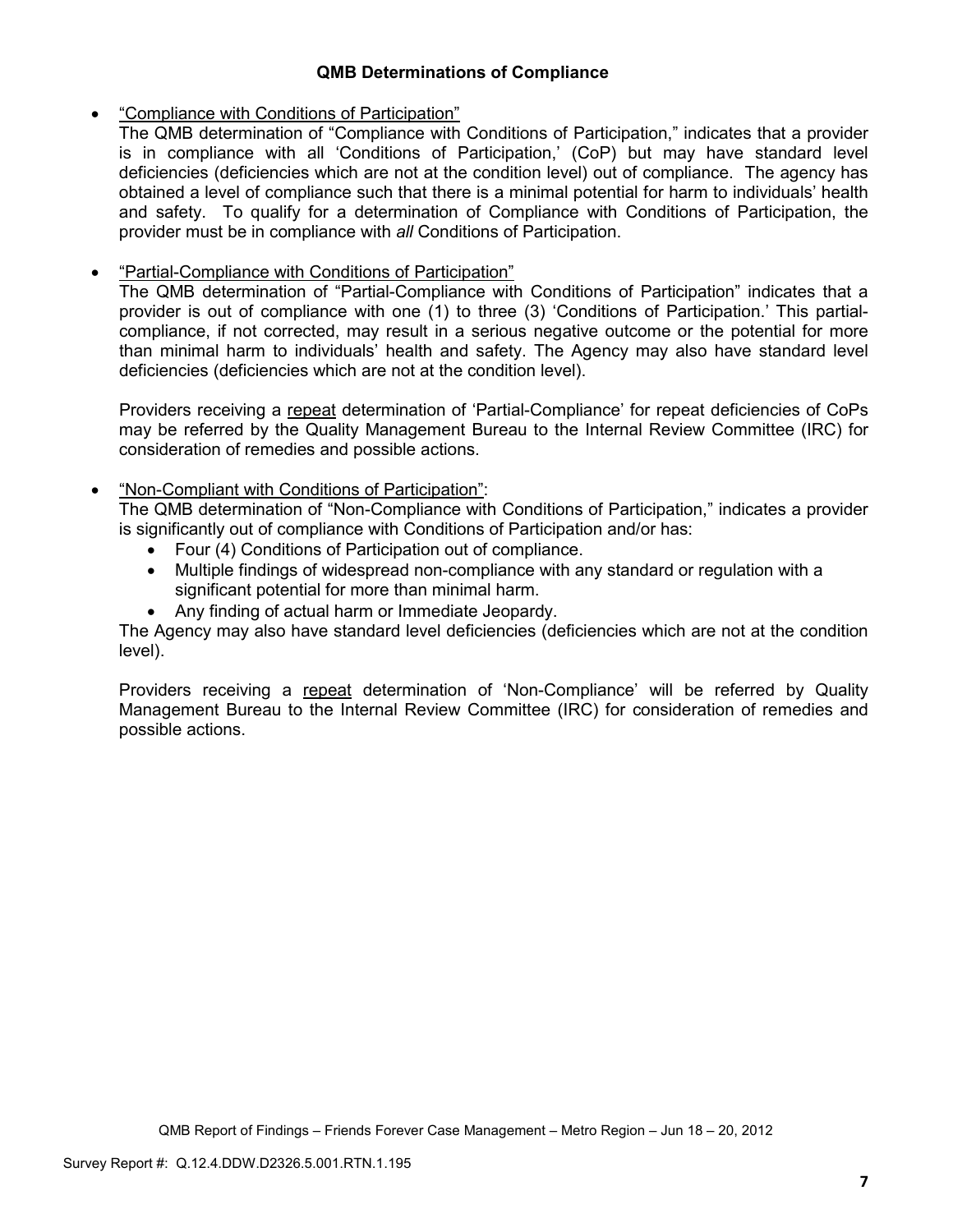## **QMB Determinations of Compliance**

## • "Compliance with Conditions of Participation"

The QMB determination of "Compliance with Conditions of Participation," indicates that a provider is in compliance with all 'Conditions of Participation,' (CoP) but may have standard level deficiencies (deficiencies which are not at the condition level) out of compliance. The agency has obtained a level of compliance such that there is a minimal potential for harm to individuals' health and safety. To qualify for a determination of Compliance with Conditions of Participation, the provider must be in compliance with *all* Conditions of Participation.

# • "Partial-Compliance with Conditions of Participation"

The QMB determination of "Partial-Compliance with Conditions of Participation" indicates that a provider is out of compliance with one (1) to three (3) 'Conditions of Participation.' This partialcompliance, if not corrected, may result in a serious negative outcome or the potential for more than minimal harm to individuals' health and safety. The Agency may also have standard level deficiencies (deficiencies which are not at the condition level).

Providers receiving a repeat determination of 'Partial-Compliance' for repeat deficiencies of CoPs may be referred by the Quality Management Bureau to the Internal Review Committee (IRC) for consideration of remedies and possible actions.

## • "Non-Compliant with Conditions of Participation":

The QMB determination of "Non-Compliance with Conditions of Participation," indicates a provider is significantly out of compliance with Conditions of Participation and/or has:

- Four (4) Conditions of Participation out of compliance.
- Multiple findings of widespread non-compliance with any standard or regulation with a significant potential for more than minimal harm.
- Any finding of actual harm or Immediate Jeopardy.

The Agency may also have standard level deficiencies (deficiencies which are not at the condition level).

Providers receiving a repeat determination of 'Non-Compliance' will be referred by Quality Management Bureau to the Internal Review Committee (IRC) for consideration of remedies and possible actions.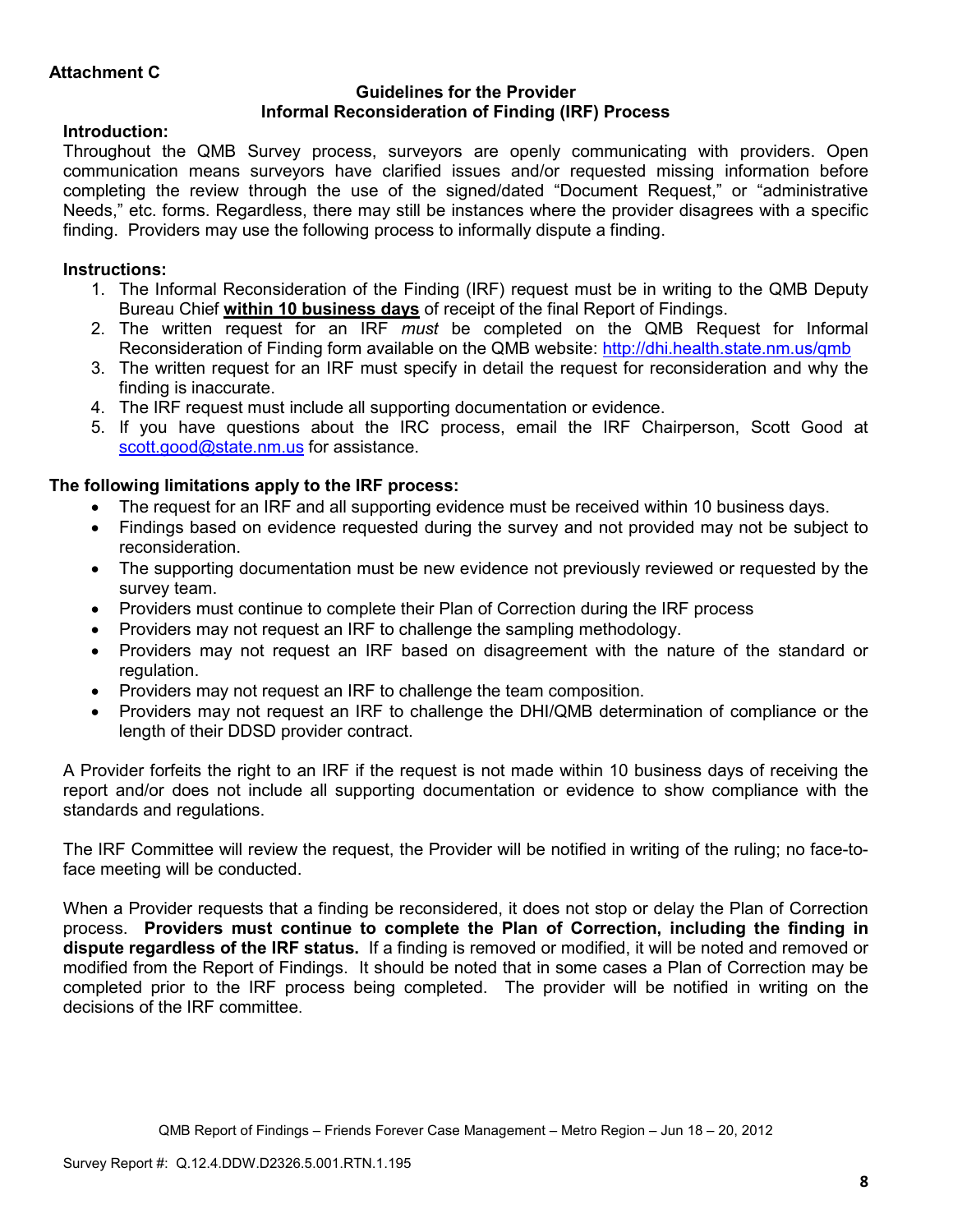#### **Guidelines for the Provider Informal Reconsideration of Finding (IRF) Process**

## **Introduction:**

Throughout the QMB Survey process, surveyors are openly communicating with providers. Open communication means surveyors have clarified issues and/or requested missing information before completing the review through the use of the signed/dated "Document Request," or "administrative Needs," etc. forms. Regardless, there may still be instances where the provider disagrees with a specific finding. Providers may use the following process to informally dispute a finding.

# **Instructions:**

- 1. The Informal Reconsideration of the Finding (IRF) request must be in writing to the QMB Deputy Bureau Chief **within 10 business days** of receipt of the final Report of Findings.
- 2. The written request for an IRF *must* be completed on the QMB Request for Informal Reconsideration of Finding form available on the QMB website: http://dhi.health.state.nm.us/qmb
- 3. The written request for an IRF must specify in detail the request for reconsideration and why the finding is inaccurate.
- 4. The IRF request must include all supporting documentation or evidence.
- 5. If you have questions about the IRC process, email the IRF Chairperson, Scott Good at scott.good@state.nm.us for assistance.

## **The following limitations apply to the IRF process:**

- The request for an IRF and all supporting evidence must be received within 10 business days.
- Findings based on evidence requested during the survey and not provided may not be subject to reconsideration.
- The supporting documentation must be new evidence not previously reviewed or requested by the survey team.
- Providers must continue to complete their Plan of Correction during the IRF process
- Providers may not request an IRF to challenge the sampling methodology.
- Providers may not request an IRF based on disagreement with the nature of the standard or regulation.
- Providers may not request an IRF to challenge the team composition.
- Providers may not request an IRF to challenge the DHI/QMB determination of compliance or the length of their DDSD provider contract.

A Provider forfeits the right to an IRF if the request is not made within 10 business days of receiving the report and/or does not include all supporting documentation or evidence to show compliance with the standards and regulations.

The IRF Committee will review the request, the Provider will be notified in writing of the ruling; no face-toface meeting will be conducted.

When a Provider requests that a finding be reconsidered, it does not stop or delay the Plan of Correction process. **Providers must continue to complete the Plan of Correction, including the finding in dispute regardless of the IRF status.** If a finding is removed or modified, it will be noted and removed or modified from the Report of Findings. It should be noted that in some cases a Plan of Correction may be completed prior to the IRF process being completed. The provider will be notified in writing on the decisions of the IRF committee.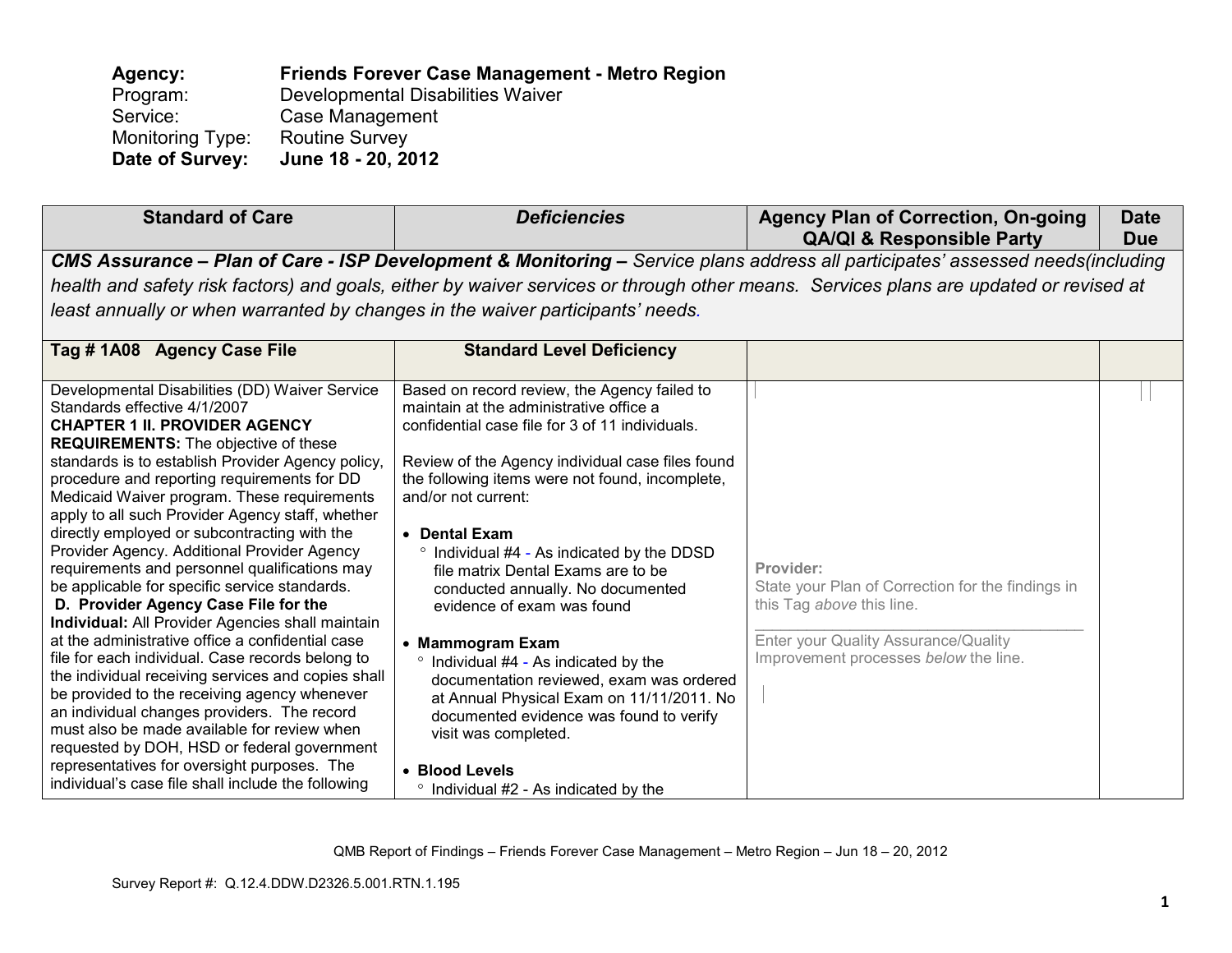**Agency: Friends Forever Case Management - Metro Region** Program: Developmental Disabilities Waiver<br>Service: Case Management Case Management Monitoring Type: Routine Survey<br>Date of Survey: June 18 - 20, 20 **Date of Survey: June 18 - 20, 2012** 

| <b>Standard of Care</b>                                                                                                                                                                                                                                                                                                                                                                                                                                                                                                                                                                                                                                                                                                                                                                                                                                                                                                                                                                                                                                                                                                                          | <b>Deficiencies</b>                                                                                                                                                                                                                                                                                                                                                                                                                                                                                                                                                                                                                                                                                                                                     | <b>Agency Plan of Correction, On-going</b><br><b>QA/QI &amp; Responsible Party</b>                                                                                           | <b>Date</b><br><b>Due</b> |
|--------------------------------------------------------------------------------------------------------------------------------------------------------------------------------------------------------------------------------------------------------------------------------------------------------------------------------------------------------------------------------------------------------------------------------------------------------------------------------------------------------------------------------------------------------------------------------------------------------------------------------------------------------------------------------------------------------------------------------------------------------------------------------------------------------------------------------------------------------------------------------------------------------------------------------------------------------------------------------------------------------------------------------------------------------------------------------------------------------------------------------------------------|---------------------------------------------------------------------------------------------------------------------------------------------------------------------------------------------------------------------------------------------------------------------------------------------------------------------------------------------------------------------------------------------------------------------------------------------------------------------------------------------------------------------------------------------------------------------------------------------------------------------------------------------------------------------------------------------------------------------------------------------------------|------------------------------------------------------------------------------------------------------------------------------------------------------------------------------|---------------------------|
|                                                                                                                                                                                                                                                                                                                                                                                                                                                                                                                                                                                                                                                                                                                                                                                                                                                                                                                                                                                                                                                                                                                                                  |                                                                                                                                                                                                                                                                                                                                                                                                                                                                                                                                                                                                                                                                                                                                                         | CMS Assurance - Plan of Care - ISP Development & Monitoring - Service plans address all participates' assessed needs(including                                               |                           |
|                                                                                                                                                                                                                                                                                                                                                                                                                                                                                                                                                                                                                                                                                                                                                                                                                                                                                                                                                                                                                                                                                                                                                  |                                                                                                                                                                                                                                                                                                                                                                                                                                                                                                                                                                                                                                                                                                                                                         | health and safety risk factors) and goals, either by waiver services or through other means. Services plans are updated or revised at                                        |                           |
| least annually or when warranted by changes in the waiver participants' needs.                                                                                                                                                                                                                                                                                                                                                                                                                                                                                                                                                                                                                                                                                                                                                                                                                                                                                                                                                                                                                                                                   |                                                                                                                                                                                                                                                                                                                                                                                                                                                                                                                                                                                                                                                                                                                                                         |                                                                                                                                                                              |                           |
| Tag #1A08 Agency Case File                                                                                                                                                                                                                                                                                                                                                                                                                                                                                                                                                                                                                                                                                                                                                                                                                                                                                                                                                                                                                                                                                                                       | <b>Standard Level Deficiency</b>                                                                                                                                                                                                                                                                                                                                                                                                                                                                                                                                                                                                                                                                                                                        |                                                                                                                                                                              |                           |
| Developmental Disabilities (DD) Waiver Service<br>Standards effective 4/1/2007<br><b>CHAPTER 1 II. PROVIDER AGENCY</b><br><b>REQUIREMENTS:</b> The objective of these<br>standards is to establish Provider Agency policy,<br>procedure and reporting requirements for DD<br>Medicaid Waiver program. These requirements<br>apply to all such Provider Agency staff, whether<br>directly employed or subcontracting with the<br>Provider Agency. Additional Provider Agency<br>requirements and personnel qualifications may<br>be applicable for specific service standards.<br>D. Provider Agency Case File for the<br><b>Individual:</b> All Provider Agencies shall maintain<br>at the administrative office a confidential case<br>file for each individual. Case records belong to<br>the individual receiving services and copies shall<br>be provided to the receiving agency whenever<br>an individual changes providers. The record<br>must also be made available for review when<br>requested by DOH, HSD or federal government<br>representatives for oversight purposes. The<br>individual's case file shall include the following | Based on record review, the Agency failed to<br>maintain at the administrative office a<br>confidential case file for 3 of 11 individuals.<br>Review of the Agency individual case files found<br>the following items were not found, incomplete,<br>and/or not current:<br>• Dental Exam<br><sup>o</sup> Individual #4 - As indicated by the DDSD<br>file matrix Dental Exams are to be<br>conducted annually. No documented<br>evidence of exam was found<br>• Mammogram Exam<br>° Individual #4 - As indicated by the<br>documentation reviewed, exam was ordered<br>at Annual Physical Exam on 11/11/2011. No<br>documented evidence was found to verify<br>visit was completed.<br>• Blood Levels<br>$\degree$ Individual #2 - As indicated by the | Provider:<br>State your Plan of Correction for the findings in<br>this Tag above this line.<br>Enter your Quality Assurance/Quality<br>Improvement processes below the line. |                           |

QMB Report of Findings – Friends Forever Case Management – Metro Region – Jun 18 – 20, 2012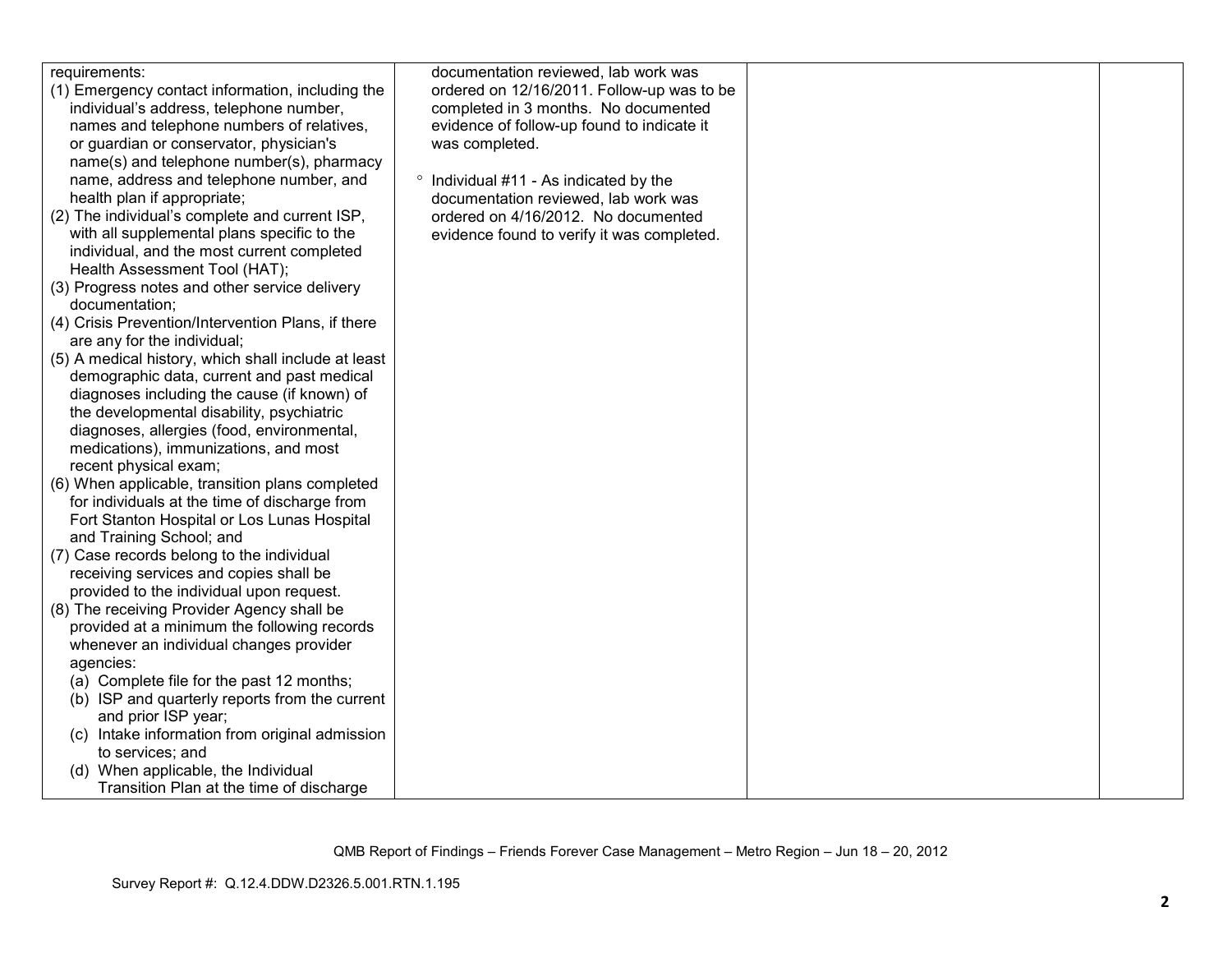| requirements:                                       | documentation reviewed, lab work was       |  |
|-----------------------------------------------------|--------------------------------------------|--|
|                                                     |                                            |  |
| (1) Emergency contact information, including the    | ordered on 12/16/2011. Follow-up was to be |  |
| individual's address, telephone number,             | completed in 3 months. No documented       |  |
| names and telephone numbers of relatives,           | evidence of follow-up found to indicate it |  |
| or guardian or conservator, physician's             | was completed.                             |  |
| name(s) and telephone number(s), pharmacy           |                                            |  |
| name, address and telephone number, and             | • Individual #11 - As indicated by the     |  |
| health plan if appropriate;                         | documentation reviewed, lab work was       |  |
| (2) The individual's complete and current ISP,      | ordered on 4/16/2012. No documented        |  |
| with all supplemental plans specific to the         | evidence found to verify it was completed. |  |
| individual, and the most current completed          |                                            |  |
| Health Assessment Tool (HAT);                       |                                            |  |
| (3) Progress notes and other service delivery       |                                            |  |
| documentation;                                      |                                            |  |
| (4) Crisis Prevention/Intervention Plans, if there  |                                            |  |
| are any for the individual;                         |                                            |  |
| (5) A medical history, which shall include at least |                                            |  |
| demographic data, current and past medical          |                                            |  |
| diagnoses including the cause (if known) of         |                                            |  |
| the developmental disability, psychiatric           |                                            |  |
| diagnoses, allergies (food, environmental,          |                                            |  |
| medications), immunizations, and most               |                                            |  |
| recent physical exam;                               |                                            |  |
| (6) When applicable, transition plans completed     |                                            |  |
| for individuals at the time of discharge from       |                                            |  |
| Fort Stanton Hospital or Los Lunas Hospital         |                                            |  |
| and Training School; and                            |                                            |  |
| (7) Case records belong to the individual           |                                            |  |
| receiving services and copies shall be              |                                            |  |
| provided to the individual upon request.            |                                            |  |
|                                                     |                                            |  |
| (8) The receiving Provider Agency shall be          |                                            |  |
| provided at a minimum the following records         |                                            |  |
| whenever an individual changes provider             |                                            |  |
| agencies:                                           |                                            |  |
| (a) Complete file for the past 12 months;           |                                            |  |
| (b) ISP and quarterly reports from the current      |                                            |  |
| and prior ISP year;                                 |                                            |  |
| (c) Intake information from original admission      |                                            |  |
| to services; and                                    |                                            |  |
| (d) When applicable, the Individual                 |                                            |  |
| Transition Plan at the time of discharge            |                                            |  |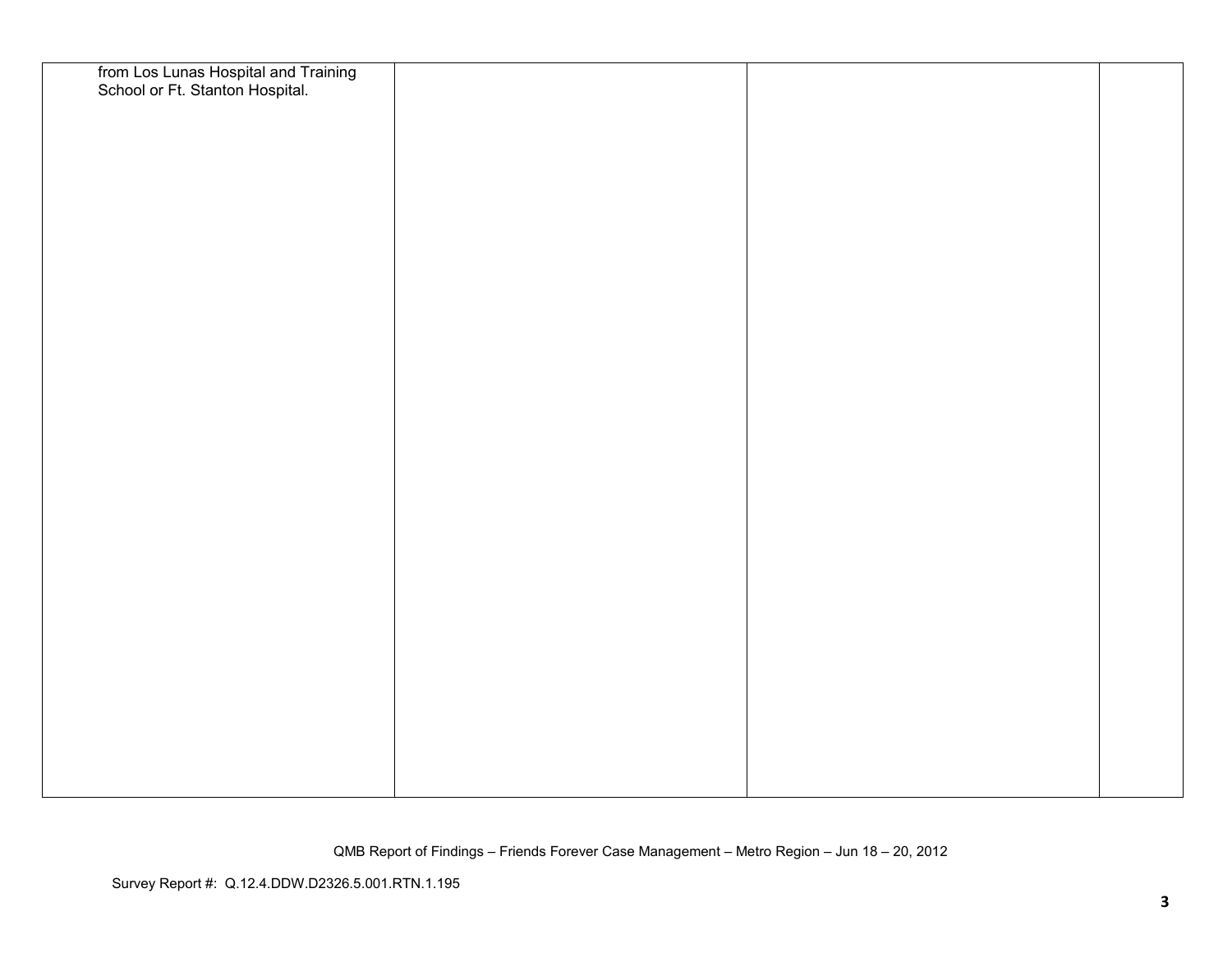| from Los Lunas Hospital and Training<br>School or Ft. Stanton Hospital. |  |  |
|-------------------------------------------------------------------------|--|--|
|                                                                         |  |  |
|                                                                         |  |  |
|                                                                         |  |  |
|                                                                         |  |  |
|                                                                         |  |  |
|                                                                         |  |  |
|                                                                         |  |  |
|                                                                         |  |  |
|                                                                         |  |  |
|                                                                         |  |  |
|                                                                         |  |  |
|                                                                         |  |  |
|                                                                         |  |  |
|                                                                         |  |  |
|                                                                         |  |  |
|                                                                         |  |  |
|                                                                         |  |  |
|                                                                         |  |  |
|                                                                         |  |  |
|                                                                         |  |  |
|                                                                         |  |  |
|                                                                         |  |  |
|                                                                         |  |  |
|                                                                         |  |  |
|                                                                         |  |  |
|                                                                         |  |  |
|                                                                         |  |  |
|                                                                         |  |  |
|                                                                         |  |  |
|                                                                         |  |  |
|                                                                         |  |  |
|                                                                         |  |  |
|                                                                         |  |  |
|                                                                         |  |  |
|                                                                         |  |  |
|                                                                         |  |  |
|                                                                         |  |  |
|                                                                         |  |  |
|                                                                         |  |  |
|                                                                         |  |  |

QMB Report of Findings – Friends Forever Case Management – Metro Region – Jun 18 – 20, 2012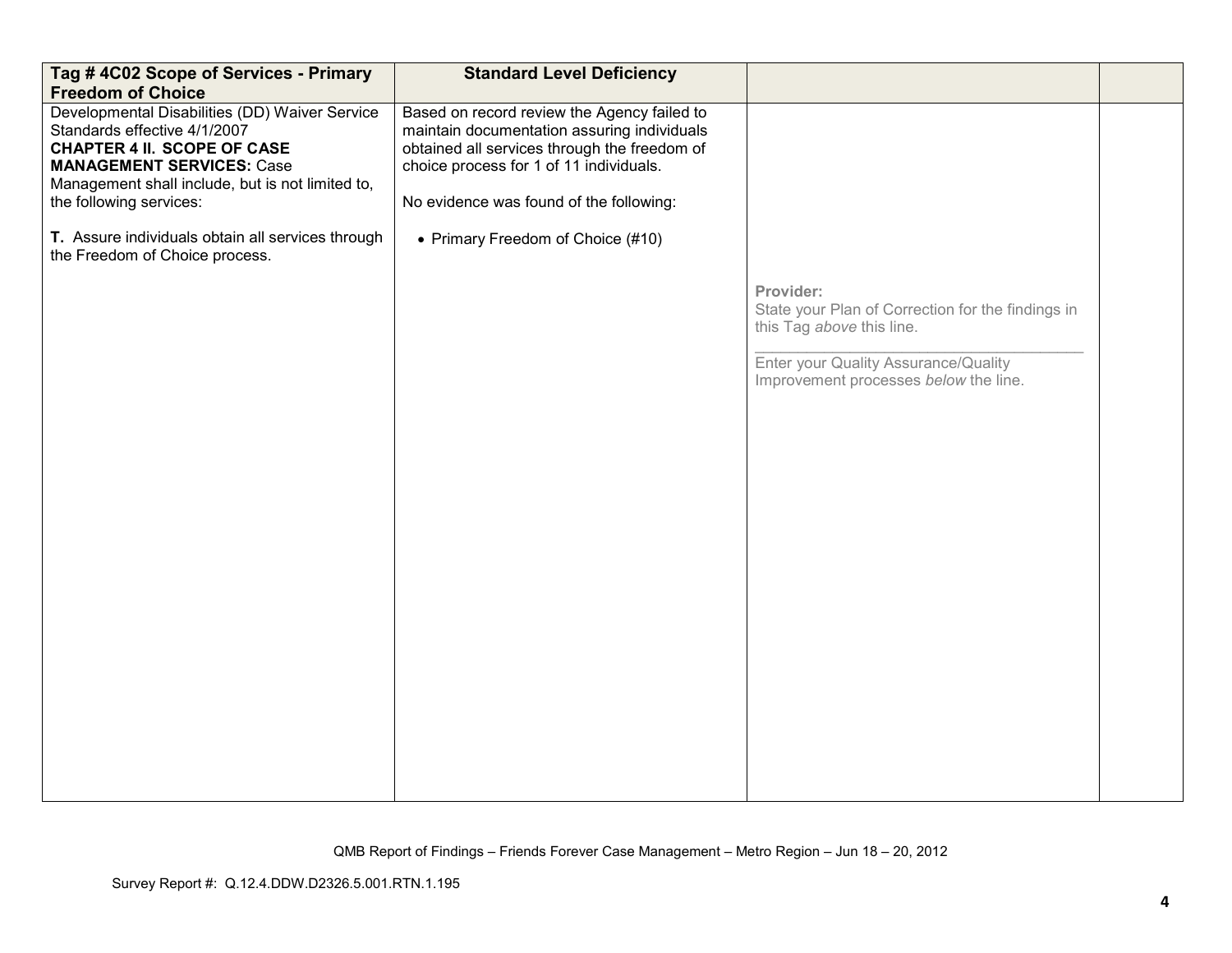| Tag #4C02 Scope of Services - Primary<br><b>Freedom of Choice</b>                                                                                                                                                                       | <b>Standard Level Deficiency</b>                                                                                                                                                                                                 |                                                                                                                                                                              |  |
|-----------------------------------------------------------------------------------------------------------------------------------------------------------------------------------------------------------------------------------------|----------------------------------------------------------------------------------------------------------------------------------------------------------------------------------------------------------------------------------|------------------------------------------------------------------------------------------------------------------------------------------------------------------------------|--|
| Developmental Disabilities (DD) Waiver Service<br>Standards effective 4/1/2007<br><b>CHAPTER 4 II. SCOPE OF CASE</b><br><b>MANAGEMENT SERVICES: Case</b><br>Management shall include, but is not limited to,<br>the following services: | Based on record review the Agency failed to<br>maintain documentation assuring individuals<br>obtained all services through the freedom of<br>choice process for 1 of 11 individuals.<br>No evidence was found of the following: |                                                                                                                                                                              |  |
| T. Assure individuals obtain all services through<br>the Freedom of Choice process.                                                                                                                                                     | • Primary Freedom of Choice (#10)                                                                                                                                                                                                |                                                                                                                                                                              |  |
|                                                                                                                                                                                                                                         |                                                                                                                                                                                                                                  | Provider:<br>State your Plan of Correction for the findings in<br>this Tag above this line.<br>Enter your Quality Assurance/Quality<br>Improvement processes below the line. |  |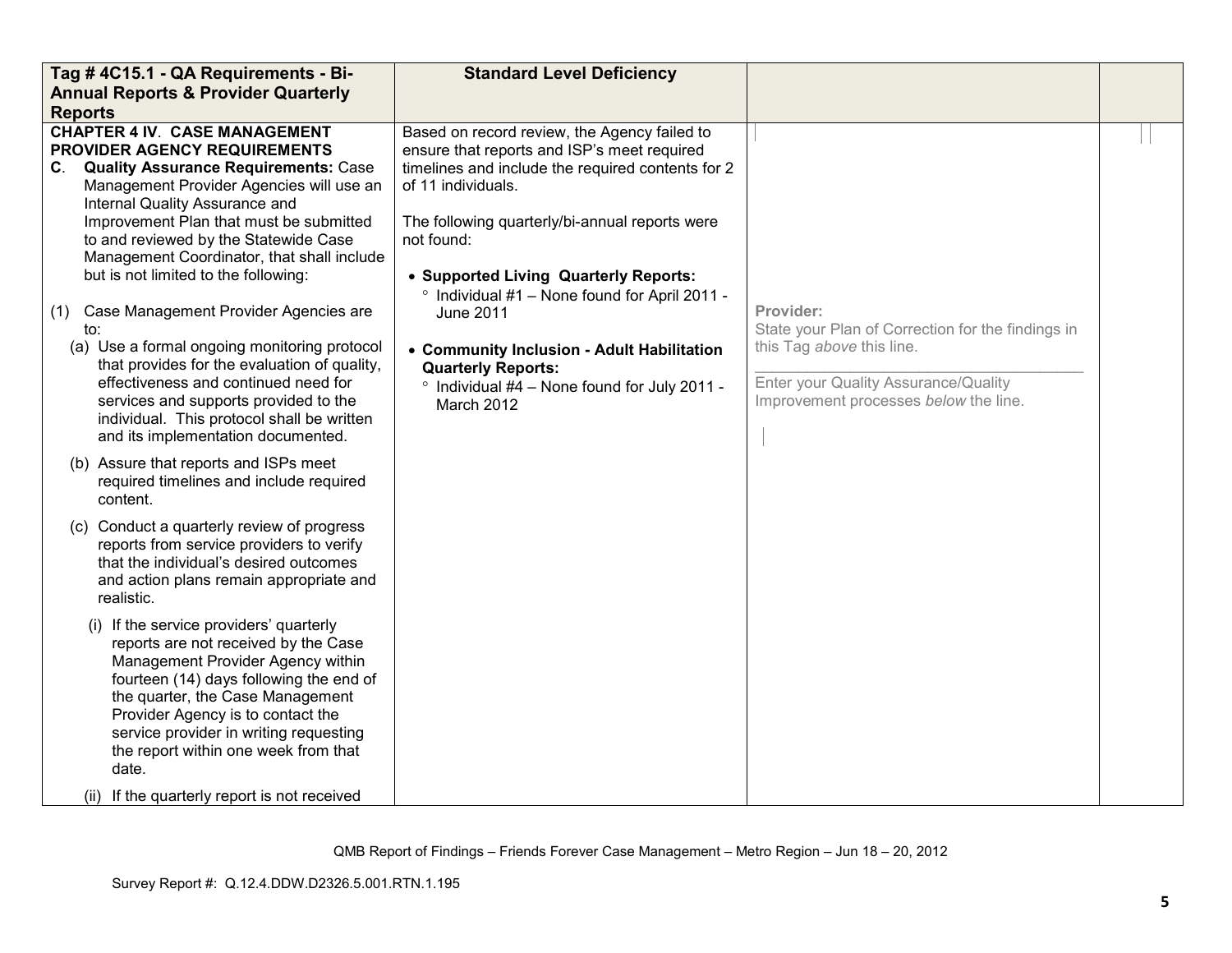| Tag #4C15.1 - QA Requirements - Bi-                                                                                                                                                                                                                                                                                                                                                                                                                                                                                                                                                                                                                                  | <b>Standard Level Deficiency</b>                                                                                                                                                                                                                                                                                                                                                                                                                                                                      |                                                                                                                                                                              |  |
|----------------------------------------------------------------------------------------------------------------------------------------------------------------------------------------------------------------------------------------------------------------------------------------------------------------------------------------------------------------------------------------------------------------------------------------------------------------------------------------------------------------------------------------------------------------------------------------------------------------------------------------------------------------------|-------------------------------------------------------------------------------------------------------------------------------------------------------------------------------------------------------------------------------------------------------------------------------------------------------------------------------------------------------------------------------------------------------------------------------------------------------------------------------------------------------|------------------------------------------------------------------------------------------------------------------------------------------------------------------------------|--|
| <b>Annual Reports &amp; Provider Quarterly</b><br><b>Reports</b>                                                                                                                                                                                                                                                                                                                                                                                                                                                                                                                                                                                                     |                                                                                                                                                                                                                                                                                                                                                                                                                                                                                                       |                                                                                                                                                                              |  |
| <b>CHAPTER 4 IV. CASE MANAGEMENT</b><br><b>PROVIDER AGENCY REQUIREMENTS</b><br>C. Quality Assurance Requirements: Case<br>Management Provider Agencies will use an<br>Internal Quality Assurance and<br>Improvement Plan that must be submitted<br>to and reviewed by the Statewide Case<br>Management Coordinator, that shall include<br>but is not limited to the following:<br>Case Management Provider Agencies are<br>(1)<br>to:<br>(a) Use a formal ongoing monitoring protocol<br>that provides for the evaluation of quality,<br>effectiveness and continued need for<br>services and supports provided to the<br>individual. This protocol shall be written | Based on record review, the Agency failed to<br>ensure that reports and ISP's meet required<br>timelines and include the required contents for 2<br>of 11 individuals.<br>The following quarterly/bi-annual reports were<br>not found:<br>• Supported Living Quarterly Reports:<br>° Individual #1 - None found for April 2011 -<br><b>June 2011</b><br>• Community Inclusion - Adult Habilitation<br><b>Quarterly Reports:</b><br>$\degree$ Individual #4 - None found for July 2011 -<br>March 2012 | Provider:<br>State your Plan of Correction for the findings in<br>this Tag above this line.<br>Enter your Quality Assurance/Quality<br>Improvement processes below the line. |  |
| and its implementation documented.<br>(b) Assure that reports and ISPs meet<br>required timelines and include required<br>content.                                                                                                                                                                                                                                                                                                                                                                                                                                                                                                                                   |                                                                                                                                                                                                                                                                                                                                                                                                                                                                                                       |                                                                                                                                                                              |  |
| (c) Conduct a quarterly review of progress<br>reports from service providers to verify<br>that the individual's desired outcomes<br>and action plans remain appropriate and<br>realistic.                                                                                                                                                                                                                                                                                                                                                                                                                                                                            |                                                                                                                                                                                                                                                                                                                                                                                                                                                                                                       |                                                                                                                                                                              |  |
| (i) If the service providers' quarterly<br>reports are not received by the Case<br>Management Provider Agency within<br>fourteen (14) days following the end of<br>the quarter, the Case Management<br>Provider Agency is to contact the<br>service provider in writing requesting<br>the report within one week from that<br>date.<br>If the quarterly report is not received<br>(ii)                                                                                                                                                                                                                                                                               |                                                                                                                                                                                                                                                                                                                                                                                                                                                                                                       |                                                                                                                                                                              |  |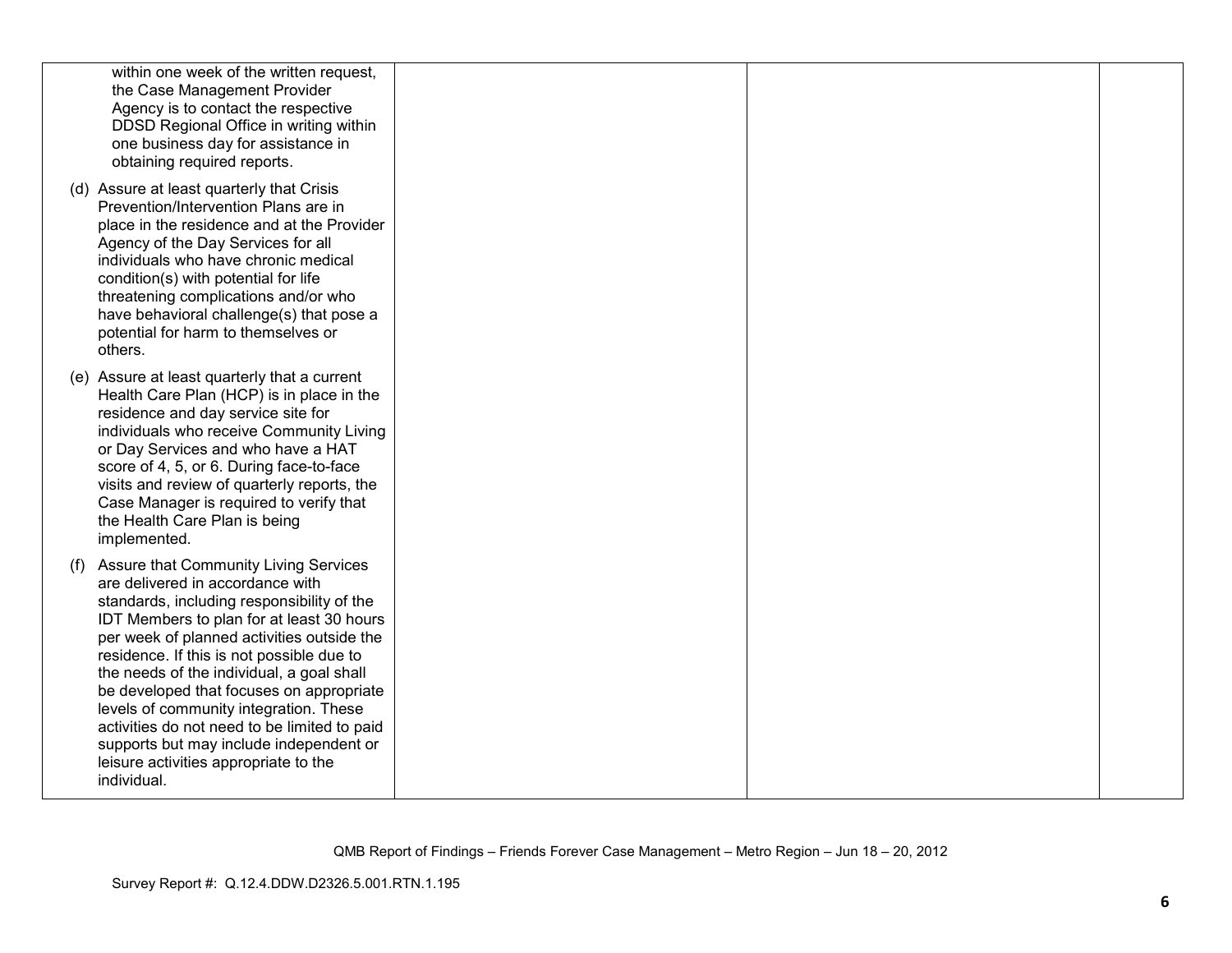| within one week of the written request,<br>the Case Management Provider<br>Agency is to contact the respective<br>DDSD Regional Office in writing within<br>one business day for assistance in<br>obtaining required reports.                                                                                                                                                                                                                                                                                                                                       |  |  |
|---------------------------------------------------------------------------------------------------------------------------------------------------------------------------------------------------------------------------------------------------------------------------------------------------------------------------------------------------------------------------------------------------------------------------------------------------------------------------------------------------------------------------------------------------------------------|--|--|
| (d) Assure at least quarterly that Crisis<br>Prevention/Intervention Plans are in<br>place in the residence and at the Provider<br>Agency of the Day Services for all<br>individuals who have chronic medical<br>condition(s) with potential for life<br>threatening complications and/or who<br>have behavioral challenge(s) that pose a<br>potential for harm to themselves or<br>others.                                                                                                                                                                         |  |  |
| (e) Assure at least quarterly that a current<br>Health Care Plan (HCP) is in place in the<br>residence and day service site for<br>individuals who receive Community Living<br>or Day Services and who have a HAT<br>score of 4, 5, or 6. During face-to-face<br>visits and review of quarterly reports, the<br>Case Manager is required to verify that<br>the Health Care Plan is being<br>implemented.                                                                                                                                                            |  |  |
| <b>Assure that Community Living Services</b><br>(1)<br>are delivered in accordance with<br>standards, including responsibility of the<br>IDT Members to plan for at least 30 hours<br>per week of planned activities outside the<br>residence. If this is not possible due to<br>the needs of the individual, a goal shall<br>be developed that focuses on appropriate<br>levels of community integration. These<br>activities do not need to be limited to paid<br>supports but may include independent or<br>leisure activities appropriate to the<br>individual. |  |  |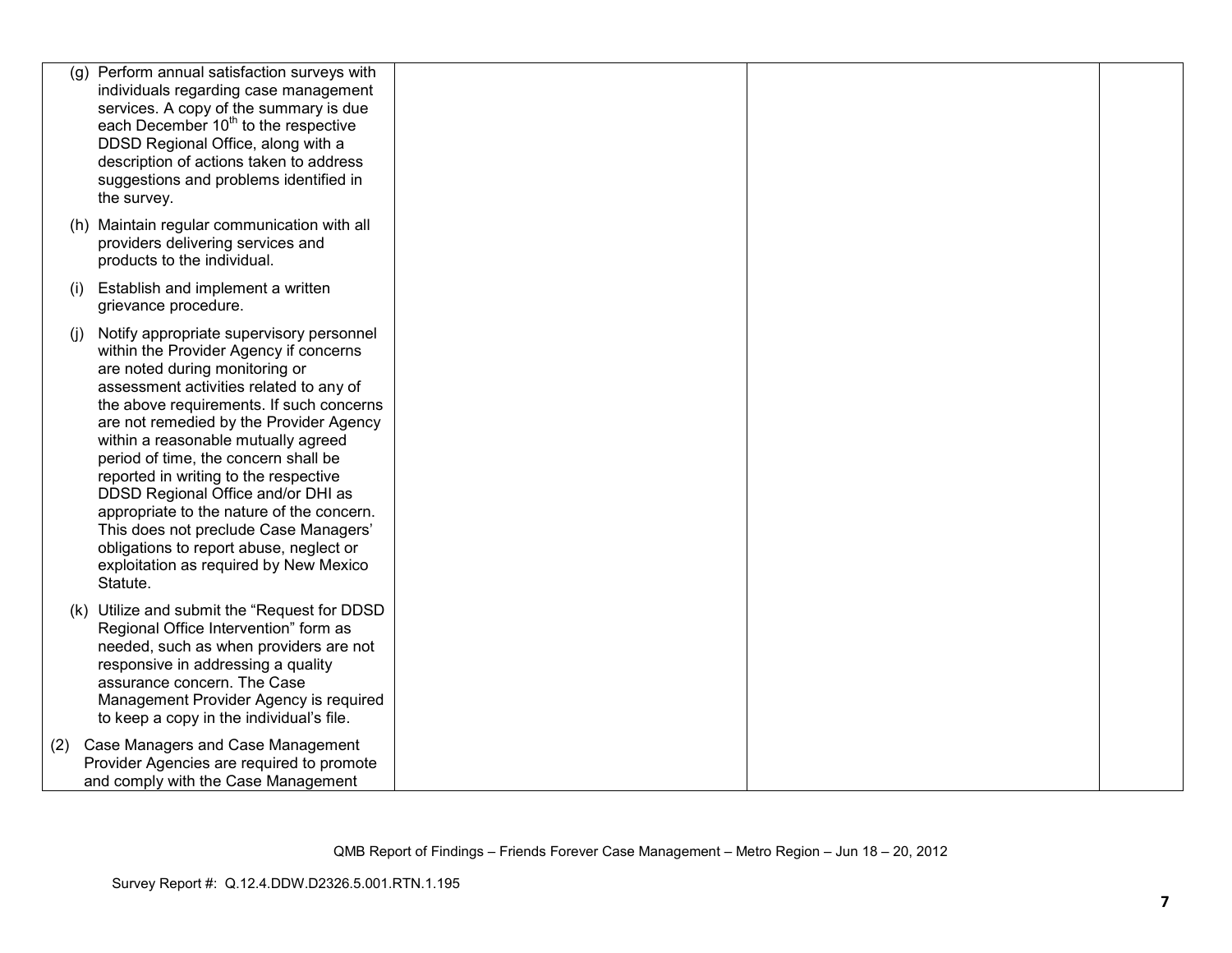| (g) | Perform annual satisfaction surveys with<br>individuals regarding case management<br>services. A copy of the summary is due<br>each December 10 <sup>th</sup> to the respective<br>DDSD Regional Office, along with a<br>description of actions taken to address<br>suggestions and problems identified in<br>the survey.                                                                                                                                                                                                                                                                                   |  |  |
|-----|-------------------------------------------------------------------------------------------------------------------------------------------------------------------------------------------------------------------------------------------------------------------------------------------------------------------------------------------------------------------------------------------------------------------------------------------------------------------------------------------------------------------------------------------------------------------------------------------------------------|--|--|
|     | (h) Maintain regular communication with all<br>providers delivering services and<br>products to the individual.                                                                                                                                                                                                                                                                                                                                                                                                                                                                                             |  |  |
| (i) | Establish and implement a written<br>grievance procedure.                                                                                                                                                                                                                                                                                                                                                                                                                                                                                                                                                   |  |  |
| (i) | Notify appropriate supervisory personnel<br>within the Provider Agency if concerns<br>are noted during monitoring or<br>assessment activities related to any of<br>the above requirements. If such concerns<br>are not remedied by the Provider Agency<br>within a reasonable mutually agreed<br>period of time, the concern shall be<br>reported in writing to the respective<br>DDSD Regional Office and/or DHI as<br>appropriate to the nature of the concern.<br>This does not preclude Case Managers'<br>obligations to report abuse, neglect or<br>exploitation as required by New Mexico<br>Statute. |  |  |
|     | (k) Utilize and submit the "Request for DDSD<br>Regional Office Intervention" form as<br>needed, such as when providers are not<br>responsive in addressing a quality<br>assurance concern. The Case<br>Management Provider Agency is required<br>to keep a copy in the individual's file.                                                                                                                                                                                                                                                                                                                  |  |  |
| (2) | Case Managers and Case Management<br>Provider Agencies are required to promote<br>and comply with the Case Management                                                                                                                                                                                                                                                                                                                                                                                                                                                                                       |  |  |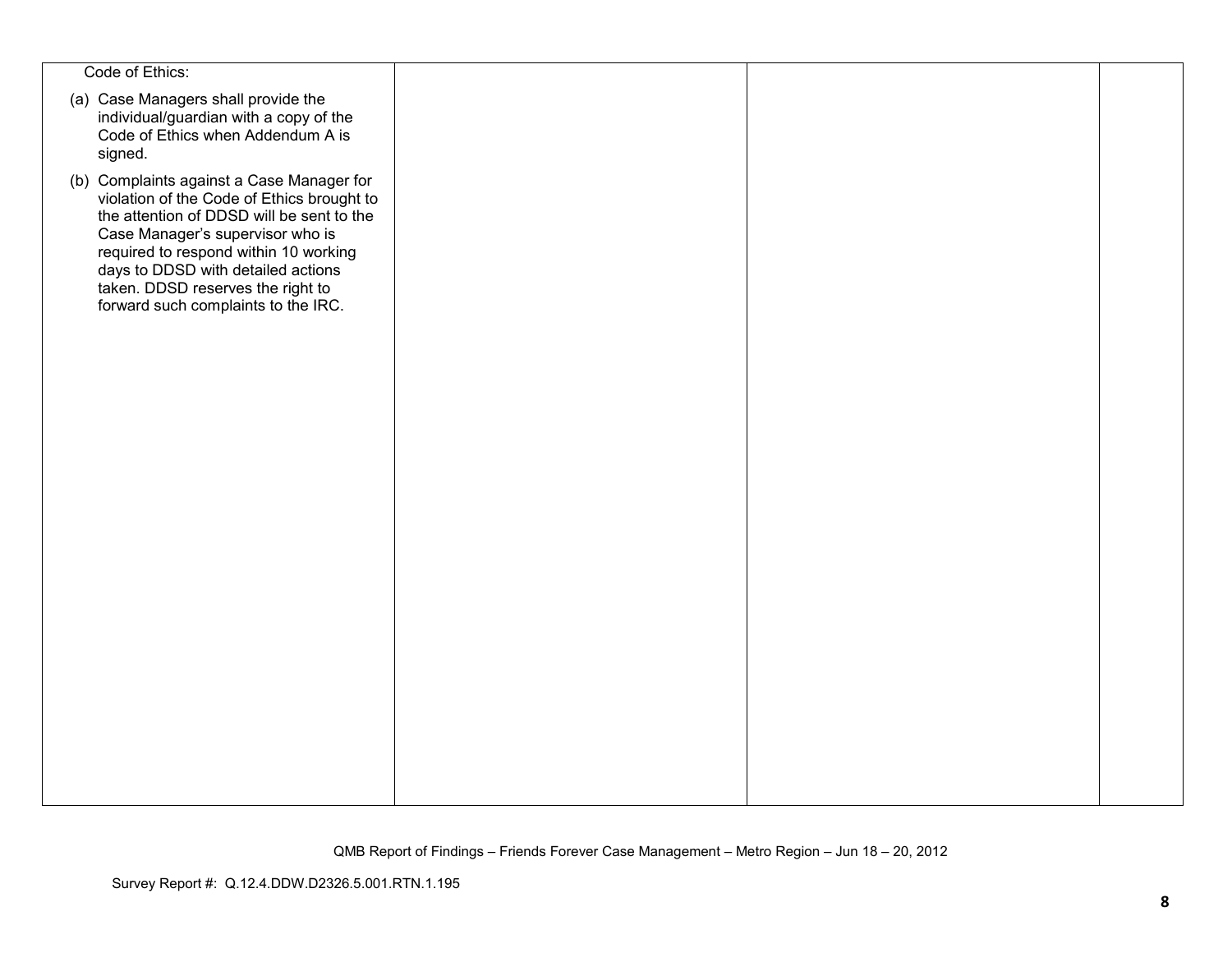| Code of Ethics:                                                                                                                                                                                                                                                                                                                     |  |  |
|-------------------------------------------------------------------------------------------------------------------------------------------------------------------------------------------------------------------------------------------------------------------------------------------------------------------------------------|--|--|
| (a) Case Managers shall provide the<br>individual/guardian with a copy of the<br>Code of Ethics when Addendum A is<br>signed.                                                                                                                                                                                                       |  |  |
| (b) Complaints against a Case Manager for<br>violation of the Code of Ethics brought to<br>the attention of DDSD will be sent to the<br>Case Manager's supervisor who is<br>required to respond within 10 working<br>days to DDSD with detailed actions<br>taken. DDSD reserves the right to<br>forward such complaints to the IRC. |  |  |
|                                                                                                                                                                                                                                                                                                                                     |  |  |
|                                                                                                                                                                                                                                                                                                                                     |  |  |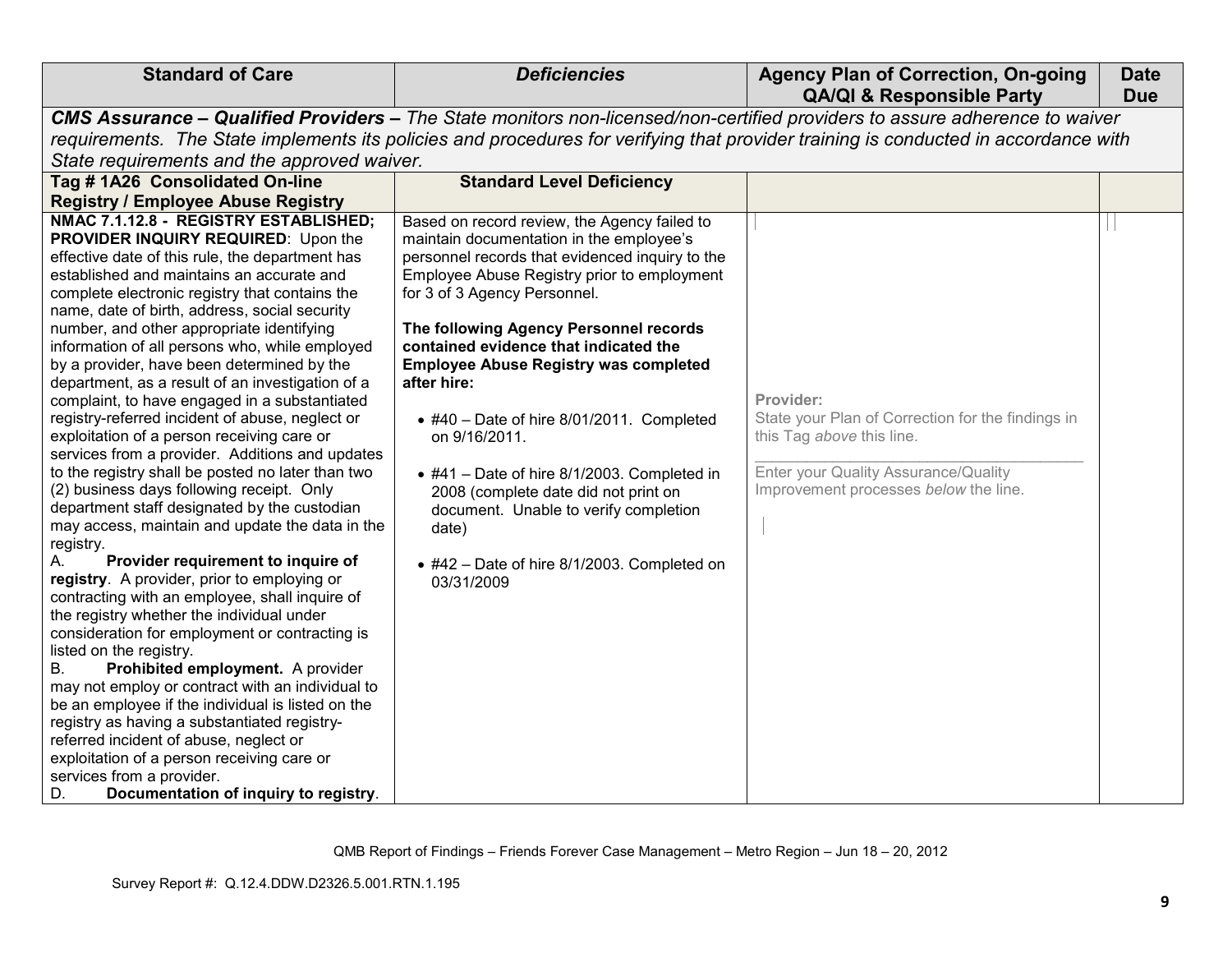| <b>Standard of Care</b>                                                                                                                                                                                                                                                                                                                                                                                                                                                                                                                                                                                                                                                                                                                                                                                                                                                                                                                                                                                                                                                                                                                                                                                                                                                                                                                                                                                                                                                                                                                               | <b>Deficiencies</b>                                                                                                                                                                                                                                                                                                                                                                                                                                                                                                                                                                                                                                              | <b>Agency Plan of Correction, On-going</b><br><b>QA/QI &amp; Responsible Party</b>                                                                                           | <b>Date</b><br><b>Due</b> |
|-------------------------------------------------------------------------------------------------------------------------------------------------------------------------------------------------------------------------------------------------------------------------------------------------------------------------------------------------------------------------------------------------------------------------------------------------------------------------------------------------------------------------------------------------------------------------------------------------------------------------------------------------------------------------------------------------------------------------------------------------------------------------------------------------------------------------------------------------------------------------------------------------------------------------------------------------------------------------------------------------------------------------------------------------------------------------------------------------------------------------------------------------------------------------------------------------------------------------------------------------------------------------------------------------------------------------------------------------------------------------------------------------------------------------------------------------------------------------------------------------------------------------------------------------------|------------------------------------------------------------------------------------------------------------------------------------------------------------------------------------------------------------------------------------------------------------------------------------------------------------------------------------------------------------------------------------------------------------------------------------------------------------------------------------------------------------------------------------------------------------------------------------------------------------------------------------------------------------------|------------------------------------------------------------------------------------------------------------------------------------------------------------------------------|---------------------------|
|                                                                                                                                                                                                                                                                                                                                                                                                                                                                                                                                                                                                                                                                                                                                                                                                                                                                                                                                                                                                                                                                                                                                                                                                                                                                                                                                                                                                                                                                                                                                                       |                                                                                                                                                                                                                                                                                                                                                                                                                                                                                                                                                                                                                                                                  | CMS Assurance – Qualified Providers – The State monitors non-licensed/non-certified providers to assure adherence to waiver                                                  |                           |
|                                                                                                                                                                                                                                                                                                                                                                                                                                                                                                                                                                                                                                                                                                                                                                                                                                                                                                                                                                                                                                                                                                                                                                                                                                                                                                                                                                                                                                                                                                                                                       |                                                                                                                                                                                                                                                                                                                                                                                                                                                                                                                                                                                                                                                                  | requirements. The State implements its policies and procedures for verifying that provider training is conducted in accordance with                                          |                           |
| State requirements and the approved waiver.                                                                                                                                                                                                                                                                                                                                                                                                                                                                                                                                                                                                                                                                                                                                                                                                                                                                                                                                                                                                                                                                                                                                                                                                                                                                                                                                                                                                                                                                                                           |                                                                                                                                                                                                                                                                                                                                                                                                                                                                                                                                                                                                                                                                  |                                                                                                                                                                              |                           |
| Tag #1A26 Consolidated On-line                                                                                                                                                                                                                                                                                                                                                                                                                                                                                                                                                                                                                                                                                                                                                                                                                                                                                                                                                                                                                                                                                                                                                                                                                                                                                                                                                                                                                                                                                                                        | <b>Standard Level Deficiency</b>                                                                                                                                                                                                                                                                                                                                                                                                                                                                                                                                                                                                                                 |                                                                                                                                                                              |                           |
|                                                                                                                                                                                                                                                                                                                                                                                                                                                                                                                                                                                                                                                                                                                                                                                                                                                                                                                                                                                                                                                                                                                                                                                                                                                                                                                                                                                                                                                                                                                                                       |                                                                                                                                                                                                                                                                                                                                                                                                                                                                                                                                                                                                                                                                  |                                                                                                                                                                              |                           |
| <b>Registry / Employee Abuse Registry</b><br>NMAC 7.1.12.8 - REGISTRY ESTABLISHED;<br><b>PROVIDER INQUIRY REQUIRED:</b> Upon the<br>effective date of this rule, the department has<br>established and maintains an accurate and<br>complete electronic registry that contains the<br>name, date of birth, address, social security<br>number, and other appropriate identifying<br>information of all persons who, while employed<br>by a provider, have been determined by the<br>department, as a result of an investigation of a<br>complaint, to have engaged in a substantiated<br>registry-referred incident of abuse, neglect or<br>exploitation of a person receiving care or<br>services from a provider. Additions and updates<br>to the registry shall be posted no later than two<br>(2) business days following receipt. Only<br>department staff designated by the custodian<br>may access, maintain and update the data in the<br>registry.<br>Provider requirement to inquire of<br>registry. A provider, prior to employing or<br>contracting with an employee, shall inquire of<br>the registry whether the individual under<br>consideration for employment or contracting is<br>listed on the registry.<br>Prohibited employment. A provider<br>В.<br>may not employ or contract with an individual to<br>be an employee if the individual is listed on the<br>registry as having a substantiated registry-<br>referred incident of abuse, neglect or<br>exploitation of a person receiving care or<br>services from a provider. | Based on record review, the Agency failed to<br>maintain documentation in the employee's<br>personnel records that evidenced inquiry to the<br>Employee Abuse Registry prior to employment<br>for 3 of 3 Agency Personnel.<br>The following Agency Personnel records<br>contained evidence that indicated the<br><b>Employee Abuse Registry was completed</b><br>after hire:<br>$\bullet$ #40 - Date of hire 8/01/2011. Completed<br>on 9/16/2011.<br>$\bullet$ #41 - Date of hire 8/1/2003. Completed in<br>2008 (complete date did not print on<br>document. Unable to verify completion<br>date)<br>• #42 - Date of hire 8/1/2003. Completed on<br>03/31/2009 | Provider:<br>State your Plan of Correction for the findings in<br>this Tag above this line.<br>Enter your Quality Assurance/Quality<br>Improvement processes below the line. |                           |
| Documentation of inquiry to registry.<br>D.                                                                                                                                                                                                                                                                                                                                                                                                                                                                                                                                                                                                                                                                                                                                                                                                                                                                                                                                                                                                                                                                                                                                                                                                                                                                                                                                                                                                                                                                                                           |                                                                                                                                                                                                                                                                                                                                                                                                                                                                                                                                                                                                                                                                  |                                                                                                                                                                              |                           |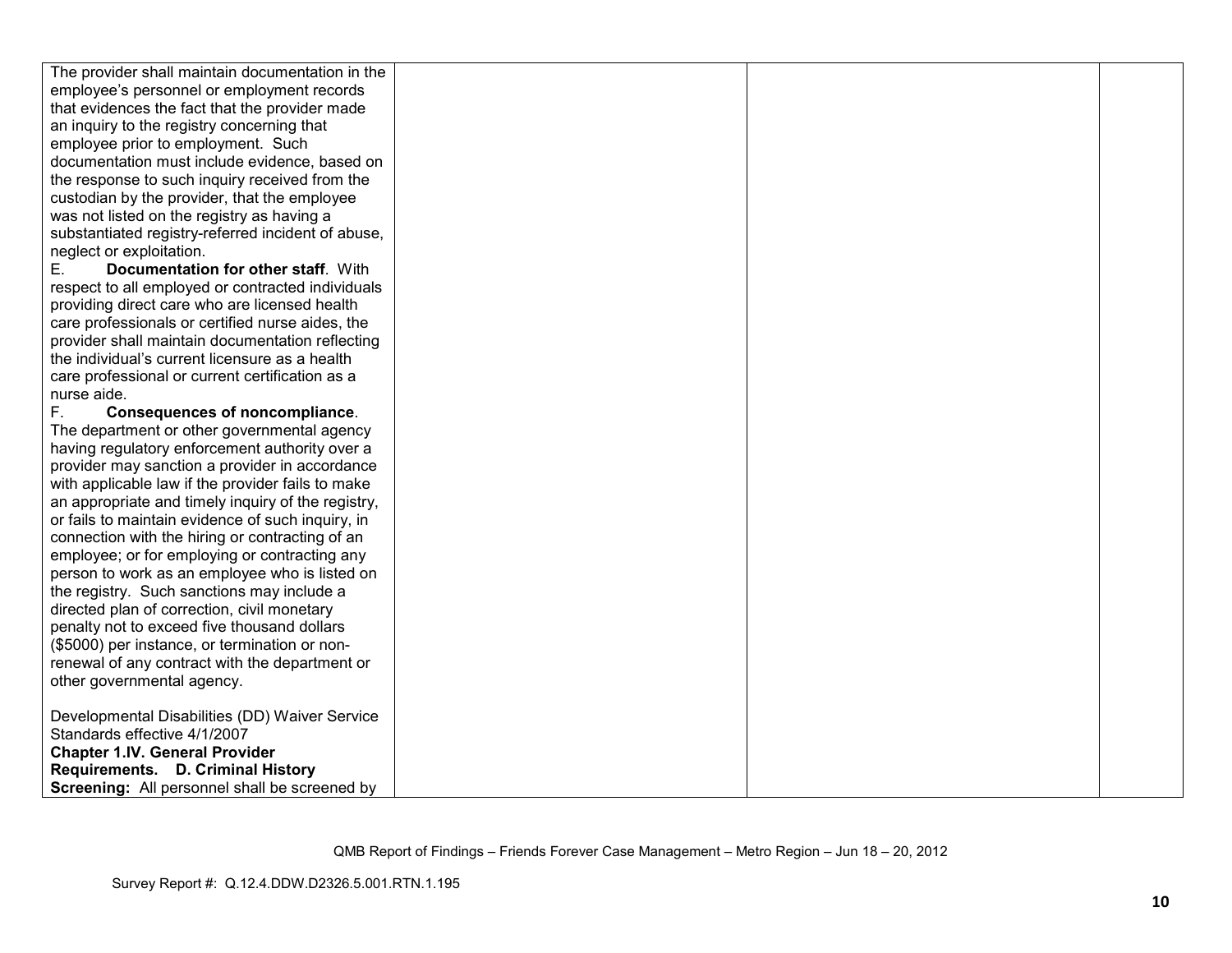| The provider shall maintain documentation in the   |  |  |
|----------------------------------------------------|--|--|
| employee's personnel or employment records         |  |  |
| that evidences the fact that the provider made     |  |  |
| an inquiry to the registry concerning that         |  |  |
| employee prior to employment. Such                 |  |  |
| documentation must include evidence, based on      |  |  |
| the response to such inquiry received from the     |  |  |
| custodian by the provider, that the employee       |  |  |
| was not listed on the registry as having a         |  |  |
| substantiated registry-referred incident of abuse, |  |  |
| neglect or exploitation.                           |  |  |
| Е.<br>Documentation for other staff. With          |  |  |
| respect to all employed or contracted individuals  |  |  |
| providing direct care who are licensed health      |  |  |
| care professionals or certified nurse aides, the   |  |  |
| provider shall maintain documentation reflecting   |  |  |
| the individual's current licensure as a health     |  |  |
| care professional or current certification as a    |  |  |
| nurse aide.                                        |  |  |
| F.<br>Consequences of noncompliance.               |  |  |
| The department or other governmental agency        |  |  |
| having regulatory enforcement authority over a     |  |  |
| provider may sanction a provider in accordance     |  |  |
| with applicable law if the provider fails to make  |  |  |
| an appropriate and timely inquiry of the registry, |  |  |
| or fails to maintain evidence of such inquiry, in  |  |  |
| connection with the hiring or contracting of an    |  |  |
| employee; or for employing or contracting any      |  |  |
| person to work as an employee who is listed on     |  |  |
| the registry. Such sanctions may include a         |  |  |
| directed plan of correction, civil monetary        |  |  |
| penalty not to exceed five thousand dollars        |  |  |
| (\$5000) per instance, or termination or non-      |  |  |
| renewal of any contract with the department or     |  |  |
| other governmental agency.                         |  |  |
|                                                    |  |  |
| Developmental Disabilities (DD) Waiver Service     |  |  |
| Standards effective 4/1/2007                       |  |  |
| <b>Chapter 1.IV. General Provider</b>              |  |  |
| Requirements. D. Criminal History                  |  |  |
| Screening: All personnel shall be screened by      |  |  |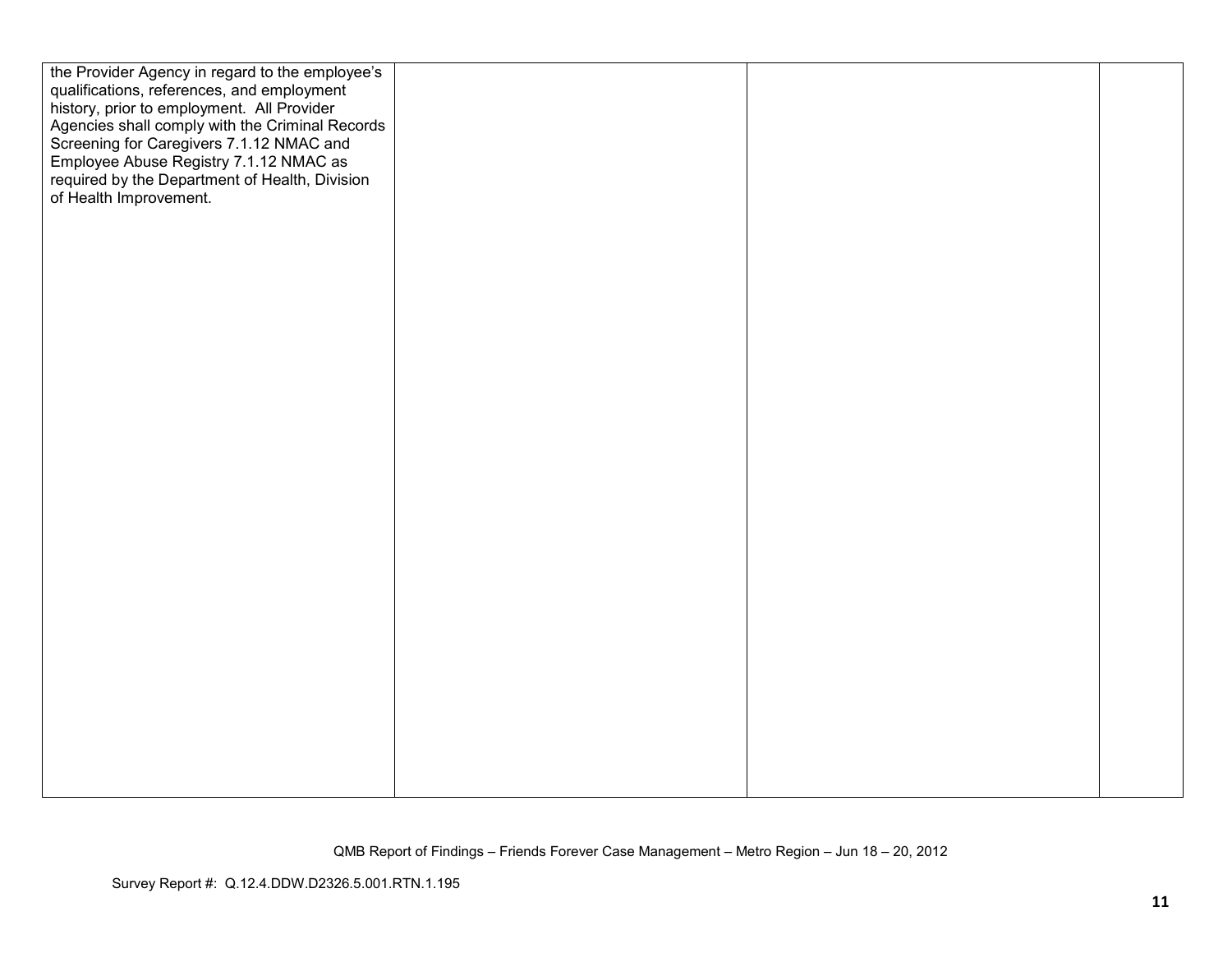| the Provider Agency in regard to the employee's<br>qualifications, references, and employment<br>history, prior to employment. All Provider<br>Agencies shall comply with the Criminal Records<br>Screening for Caregivers 7.1.12 NMAC and<br>Employee Abuse Registry 7.1.12 NMAC as<br>required by the Department of Health, Division<br>of Health Improvement. |  |  |
|------------------------------------------------------------------------------------------------------------------------------------------------------------------------------------------------------------------------------------------------------------------------------------------------------------------------------------------------------------------|--|--|
|                                                                                                                                                                                                                                                                                                                                                                  |  |  |

QMB Report of Findings – Friends Forever Case Management – Metro Region – Jun 18 – 20, 2012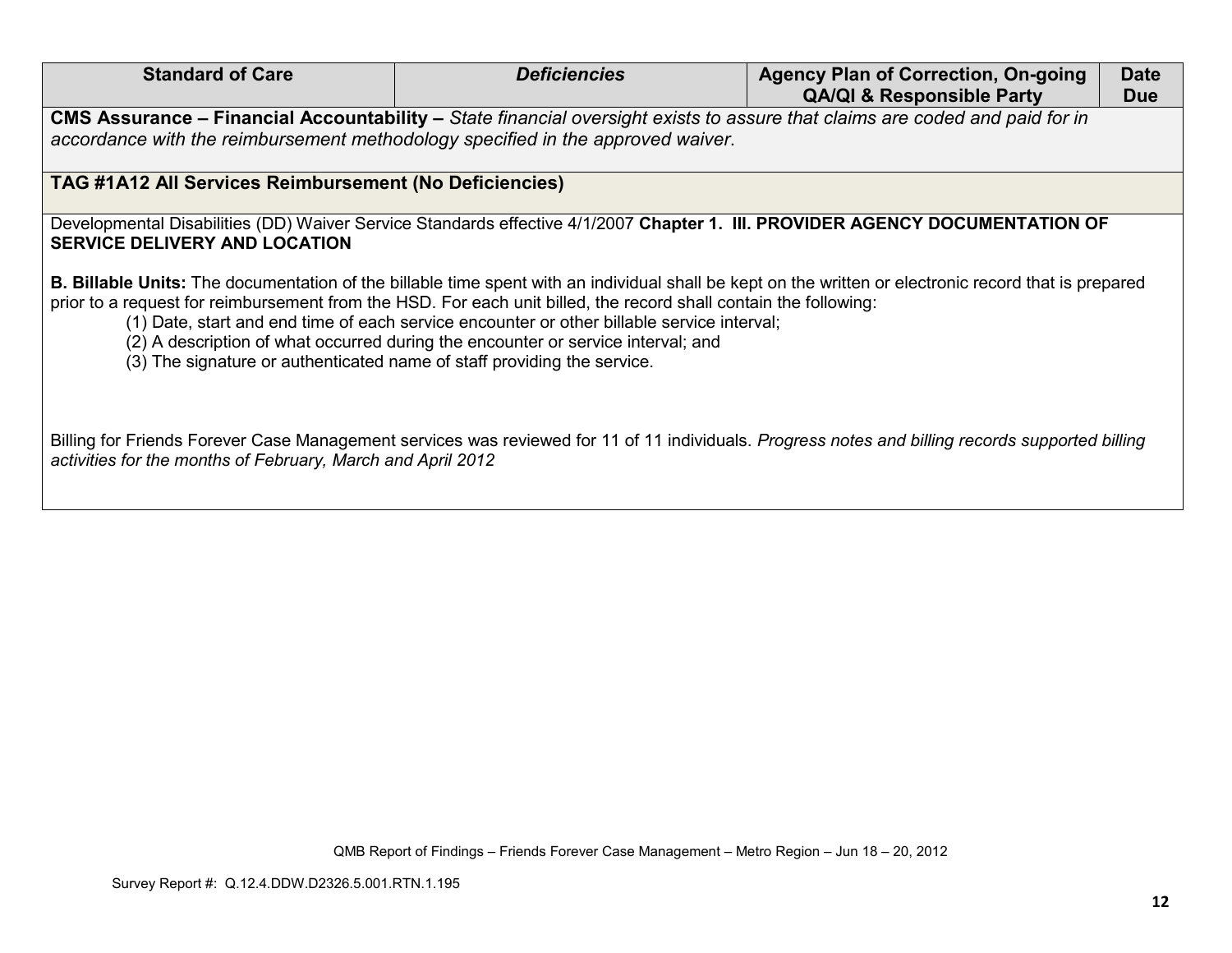| <b>Standard of Care</b>                                                                                                                                                                                                                                                                                                                                                                                                                                                                                                                | <b>Deficiencies</b>                                                                                                         | <b>Agency Plan of Correction, On-going</b> | <b>Date</b> |  |
|----------------------------------------------------------------------------------------------------------------------------------------------------------------------------------------------------------------------------------------------------------------------------------------------------------------------------------------------------------------------------------------------------------------------------------------------------------------------------------------------------------------------------------------|-----------------------------------------------------------------------------------------------------------------------------|--------------------------------------------|-------------|--|
|                                                                                                                                                                                                                                                                                                                                                                                                                                                                                                                                        |                                                                                                                             | <b>QA/QI &amp; Responsible Party</b>       | <b>Due</b>  |  |
|                                                                                                                                                                                                                                                                                                                                                                                                                                                                                                                                        | CMS Assurance – Financial Accountability – State financial oversight exists to assure that claims are coded and paid for in |                                            |             |  |
| accordance with the reimbursement methodology specified in the approved waiver.                                                                                                                                                                                                                                                                                                                                                                                                                                                        |                                                                                                                             |                                            |             |  |
|                                                                                                                                                                                                                                                                                                                                                                                                                                                                                                                                        |                                                                                                                             |                                            |             |  |
| TAG #1A12 All Services Reimbursement (No Deficiencies)                                                                                                                                                                                                                                                                                                                                                                                                                                                                                 |                                                                                                                             |                                            |             |  |
| Developmental Disabilities (DD) Waiver Service Standards effective 4/1/2007 Chapter 1. III. PROVIDER AGENCY DOCUMENTATION OF                                                                                                                                                                                                                                                                                                                                                                                                           |                                                                                                                             |                                            |             |  |
| <b>SERVICE DELIVERY AND LOCATION</b>                                                                                                                                                                                                                                                                                                                                                                                                                                                                                                   |                                                                                                                             |                                            |             |  |
|                                                                                                                                                                                                                                                                                                                                                                                                                                                                                                                                        |                                                                                                                             |                                            |             |  |
| B. Billable Units: The documentation of the billable time spent with an individual shall be kept on the written or electronic record that is prepared<br>prior to a request for reimbursement from the HSD. For each unit billed, the record shall contain the following:<br>(1) Date, start and end time of each service encounter or other billable service interval;<br>(2) A description of what occurred during the encounter or service interval; and<br>(3) The signature or authenticated name of staff providing the service. |                                                                                                                             |                                            |             |  |
| Billing for Friends Forever Case Management services was reviewed for 11 of 11 individuals. Progress notes and billing records supported billing<br>activities for the months of February, March and April 2012                                                                                                                                                                                                                                                                                                                        |                                                                                                                             |                                            |             |  |